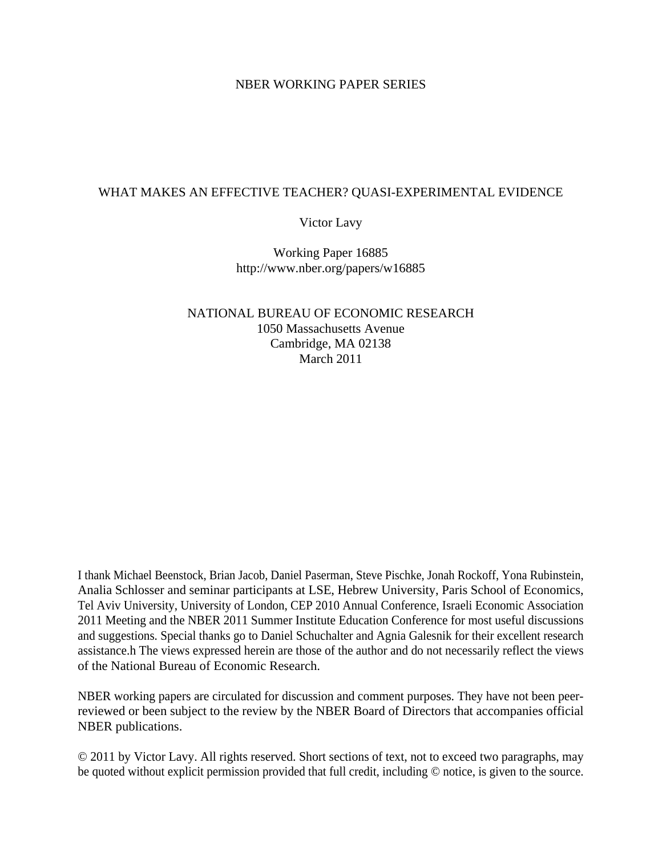# NBER WORKING PAPER SERIES

# WHAT MAKES AN EFFECTIVE TEACHER? QUASI-EXPERIMENTAL EVIDENCE

# Victor Lavy

Working Paper 16885 http://www.nber.org/papers/w16885

# NATIONAL BUREAU OF ECONOMIC RESEARCH 1050 Massachusetts Avenue Cambridge, MA 02138 March 2011

I thank Michael Beenstock, Brian Jacob, Daniel Paserman, Steve Pischke, Jonah Rockoff, Yona Rubinstein, Analia Schlosser and seminar participants at LSE, Hebrew University, Paris School of Economics, Tel Aviv University, University of London, CEP 2010 Annual Conference, Israeli Economic Association 2011 Meeting and the NBER 2011 Summer Institute Education Conference for most useful discussions and suggestions. Special thanks go to Daniel Schuchalter and Agnia Galesnik for their excellent research assistance.h The views expressed herein are those of the author and do not necessarily reflect the views of the National Bureau of Economic Research.

NBER working papers are circulated for discussion and comment purposes. They have not been peerreviewed or been subject to the review by the NBER Board of Directors that accompanies official NBER publications.

© 2011 by Victor Lavy. All rights reserved. Short sections of text, not to exceed two paragraphs, may be quoted without explicit permission provided that full credit, including © notice, is given to the source.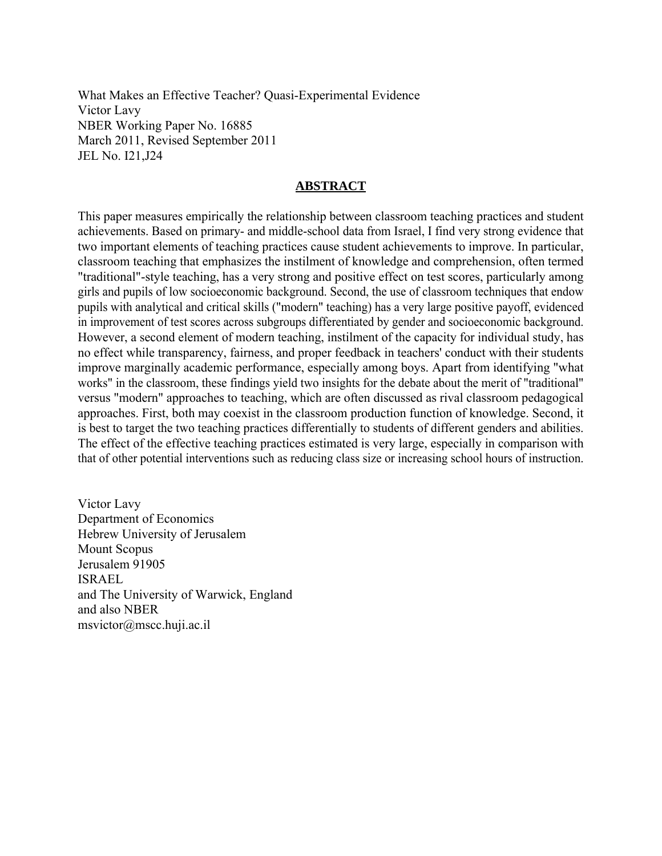What Makes an Effective Teacher? Quasi-Experimental Evidence Victor Lavy NBER Working Paper No. 16885 March 2011, Revised September 2011 JEL No. I21,J24

# **ABSTRACT**

This paper measures empirically the relationship between classroom teaching practices and student achievements. Based on primary- and middle-school data from Israel, I find very strong evidence that two important elements of teaching practices cause student achievements to improve. In particular, classroom teaching that emphasizes the instilment of knowledge and comprehension, often termed "traditional"-style teaching, has a very strong and positive effect on test scores, particularly among girls and pupils of low socioeconomic background. Second, the use of classroom techniques that endow pupils with analytical and critical skills ("modern" teaching) has a very large positive payoff, evidenced in improvement of test scores across subgroups differentiated by gender and socioeconomic background. However, a second element of modern teaching, instilment of the capacity for individual study, has no effect while transparency, fairness, and proper feedback in teachers' conduct with their students improve marginally academic performance, especially among boys. Apart from identifying "what works" in the classroom, these findings yield two insights for the debate about the merit of "traditional" versus "modern" approaches to teaching, which are often discussed as rival classroom pedagogical approaches. First, both may coexist in the classroom production function of knowledge. Second, it is best to target the two teaching practices differentially to students of different genders and abilities. The effect of the effective teaching practices estimated is very large, especially in comparison with that of other potential interventions such as reducing class size or increasing school hours of instruction.

Victor Lavy Department of Economics Hebrew University of Jerusalem Mount Scopus Jerusalem 91905 ISRAEL and The University of Warwick, England and also NBER msvictor@mscc.huji.ac.il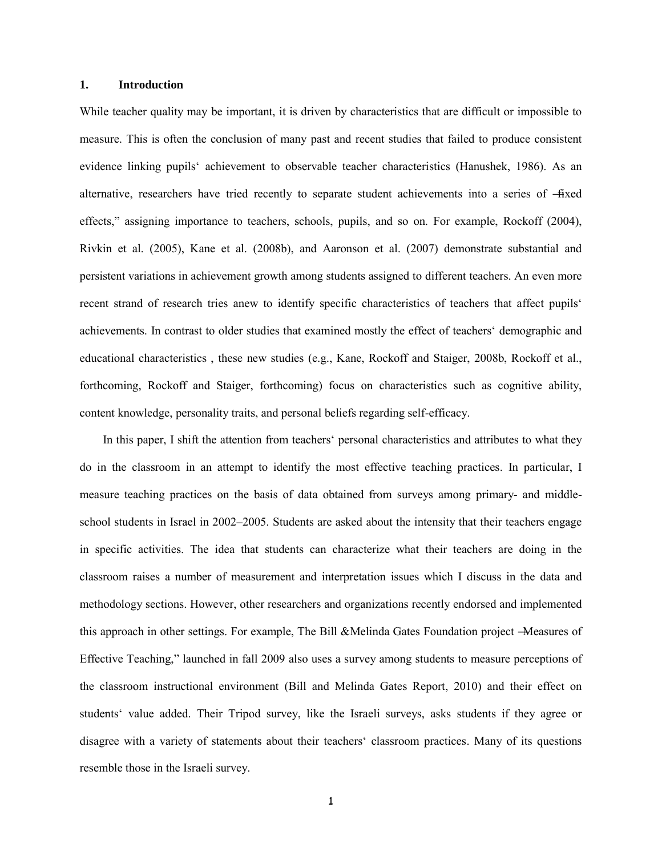#### **1. Introduction**

While teacher quality may be important, it is driven by characteristics that are difficult or impossible to measure. This is often the conclusion of many past and recent studies that failed to produce consistent evidence linking pupils' achievement to observable teacher characteristics (Hanushek, 1986). As an alternative, researchers have tried recently to separate student achievements into a series of ―fixed effects," assigning importance to teachers, schools, pupils, and so on. For example, Rockoff (2004), Rivkin et al. (2005), Kane et al. (2008b), and Aaronson et al. (2007) demonstrate substantial and persistent variations in achievement growth among students assigned to different teachers. An even more recent strand of research tries anew to identify specific characteristics of teachers that affect pupils' achievements. In contrast to older studies that examined mostly the effect of teachers' demographic and educational characteristics , these new studies (e.g., Kane, Rockoff and Staiger, 2008b, Rockoff et al., forthcoming, Rockoff and Staiger, forthcoming) focus on characteristics such as cognitive ability, content knowledge, personality traits, and personal beliefs regarding self-efficacy.

In this paper, I shift the attention from teachers' personal characteristics and attributes to what they do in the classroom in an attempt to identify the most effective teaching practices. In particular, I measure teaching practices on the basis of data obtained from surveys among primary- and middleschool students in Israel in 2002–2005. Students are asked about the intensity that their teachers engage in specific activities. The idea that students can characterize what their teachers are doing in the classroom raises a number of measurement and interpretation issues which I discuss in the data and methodology sections. However, other researchers and organizations recently endorsed and implemented this approach in other settings. For example, The Bill &Melinda Gates Foundation project ―Measures of Effective Teaching," launched in fall 2009 also uses a survey among students to measure perceptions of the classroom instructional environment (Bill and Melinda Gates Report, 2010) and their effect on students' value added. Their Tripod survey, like the Israeli surveys, asks students if they agree or disagree with a variety of statements about their teachers' classroom practices. Many of its questions resemble those in the Israeli survey.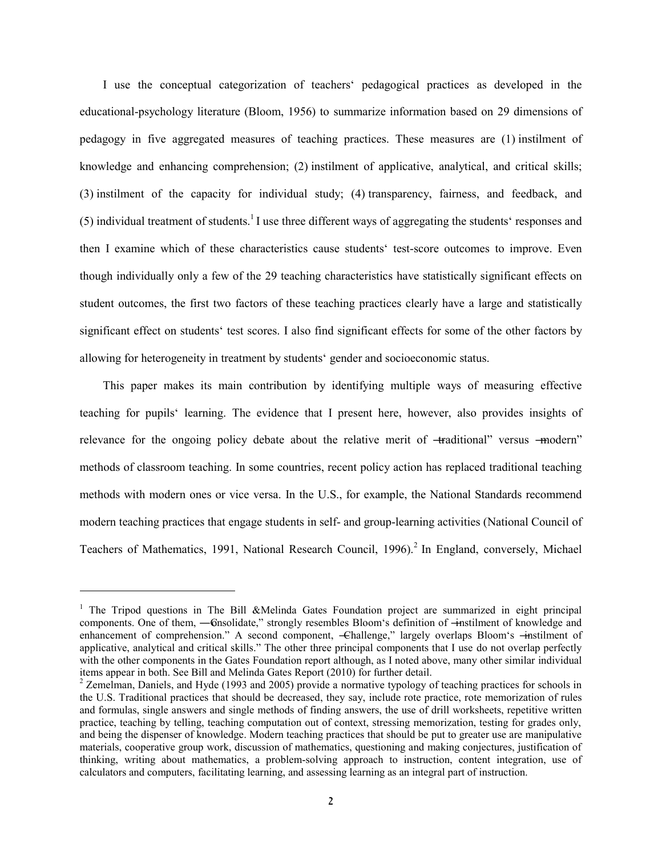I use the conceptual categorization of teachers' pedagogical practices as developed in the educational-psychology literature (Bloom, 1956) to summarize information based on 29 dimensions of pedagogy in five aggregated measures of teaching practices. These measures are (1) instilment of knowledge and enhancing comprehension; (2) instilment of applicative, analytical, and critical skills; (3) instilment of the capacity for individual study; (4) transparency, fairness, and feedback, and  $(5)$  individual treatment of students.<sup>1</sup> I use three different ways of aggregating the students' responses and then I examine which of these characteristics cause students' test-score outcomes to improve. Even though individually only a few of the 29 teaching characteristics have statistically significant effects on student outcomes, the first two factors of these teaching practices clearly have a large and statistically significant effect on students' test scores. I also find significant effects for some of the other factors by allowing for heterogeneity in treatment by students' gender and socioeconomic status.

This paper makes its main contribution by identifying multiple ways of measuring effective teaching for pupils' learning. The evidence that I present here, however, also provides insights of relevance for the ongoing policy debate about the relative merit of —traditional" versus —modern" methods of classroom teaching. In some countries, recent policy action has replaced traditional teaching methods with modern ones or vice versa. In the U.S., for example, the National Standards recommend modern teaching practices that engage students in self- and group-learning activities (National Council of Teachers of Mathematics, 1991, National Research Council, 1996).<sup>2</sup> In England, conversely, Michael

 $\overline{a}$ 

<sup>&</sup>lt;sup>1</sup> The Tripod questions in The Bill &Melinda Gates Foundation project are summarized in eight principal components. One of them, —Gnsolidate," strongly resembles Bloom's definition of  $\overline{ }$ -instilment of knowledge and enhancement of comprehension." A second component, -Challenge," largely overlaps Bloom's -instilment of applicative, analytical and critical skills." The other three principal components that I use do not overlap perfectly with the other components in the Gates Foundation report although, as I noted above, many other similar individual items appear in both. See Bill and Melinda Gates Report (2010) for further detail.

 $2$  Zemelman, Daniels, and Hyde (1993 and 2005) provide a normative typology of teaching practices for schools in the U.S. Traditional practices that should be decreased, they say, include rote practice, rote memorization of rules and formulas, single answers and single methods of finding answers, the use of drill worksheets, repetitive written practice, teaching by telling, teaching computation out of context, stressing memorization, testing for grades only, and being the dispenser of knowledge. Modern teaching practices that should be put to greater use are manipulative materials, cooperative group work, discussion of mathematics, questioning and making conjectures, justification of thinking, writing about mathematics, a problem-solving approach to instruction, content integration, use of calculators and computers, facilitating learning, and assessing learning as an integral part of instruction.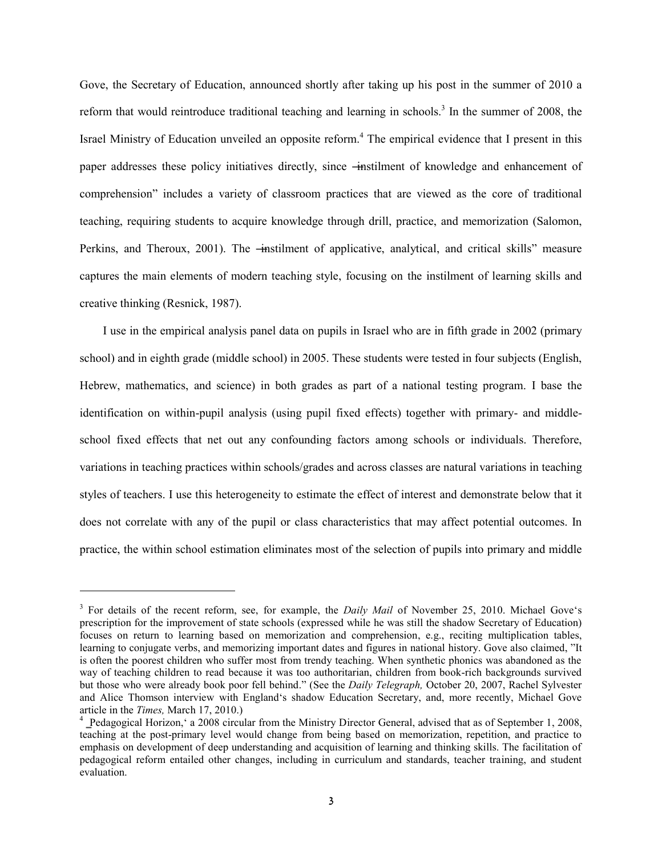Gove, the Secretary of Education, announced shortly after taking up his post in the summer of 2010 a reform that would reintroduce traditional teaching and learning in schools.<sup>3</sup> In the summer of 2008, the Israel Ministry of Education unveiled an opposite reform.<sup>4</sup> The empirical evidence that I present in this paper addresses these policy initiatives directly, since —instilment of knowledge and enhancement of comprehension‖ includes a variety of classroom practices that are viewed as the core of traditional teaching, requiring students to acquire knowledge through drill, practice, and memorization (Salomon, Perkins, and Theroux, 2001). The —instilment of applicative, analytical, and critical skills" measure captures the main elements of modern teaching style, focusing on the instilment of learning skills and creative thinking (Resnick, 1987).

I use in the empirical analysis panel data on pupils in Israel who are in fifth grade in 2002 (primary school) and in eighth grade (middle school) in 2005. These students were tested in four subjects (English, Hebrew, mathematics, and science) in both grades as part of a national testing program. I base the identification on within-pupil analysis (using pupil fixed effects) together with primary- and middleschool fixed effects that net out any confounding factors among schools or individuals. Therefore, variations in teaching practices within schools/grades and across classes are natural variations in teaching styles of teachers. I use this heterogeneity to estimate the effect of interest and demonstrate below that it does not correlate with any of the pupil or class characteristics that may affect potential outcomes. In practice, the within school estimation eliminates most of the selection of pupils into primary and middle

 $\overline{a}$ 

<sup>&</sup>lt;sup>3</sup> For details of the recent reform, see, for example, the *Daily Mail* of November 25, 2010. Michael Gove's prescription for the improvement of state schools (expressed while he was still the shadow Secretary of Education) focuses on return to learning based on memorization and comprehension, e.g., reciting multiplication tables, learning to conjugate verbs, and memorizing important dates and figures in national history. Gove also claimed, "It is often the poorest children who suffer most from trendy teaching. When synthetic phonics was abandoned as the way of teaching children to read because it was too authoritarian, children from book-rich backgrounds survived but those who were already book poor fell behind." (See the *Daily Telegraph*, October 20, 2007, Rachel Sylvester and Alice Thomson interview with England's shadow Education Secretary, and, more recently, Michael Gove article in the *Times,* March 17, 2010.)

<sup>&</sup>lt;sup>4</sup> Pedagogical Horizon, 'a 2008 circular from the Ministry Director General, advised that as of September 1, 2008, teaching at the post-primary level would change from being based on memorization, repetition, and practice to emphasis on development of deep understanding and acquisition of learning and thinking skills. The facilitation of pedagogical reform entailed other changes, including in curriculum and standards, teacher training, and student evaluation.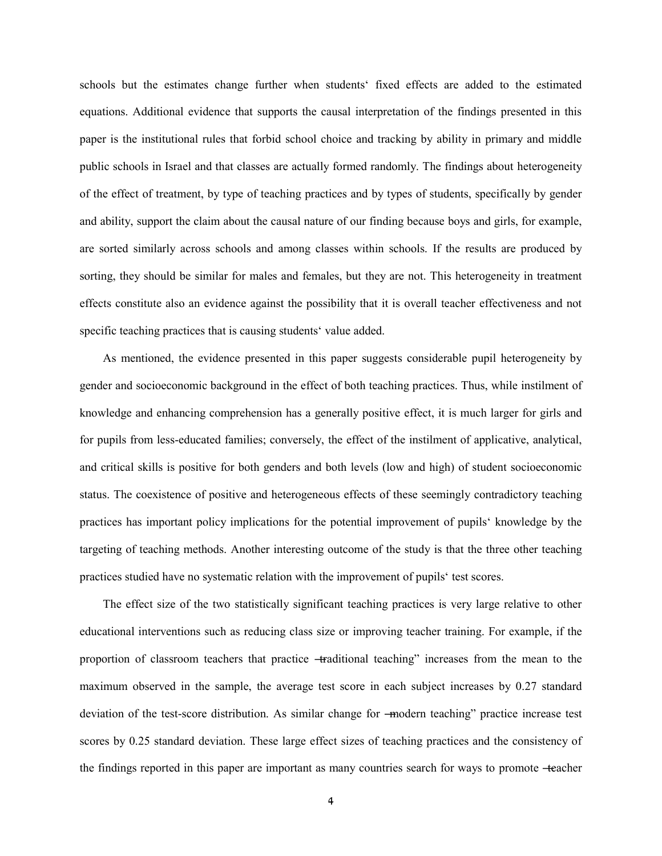schools but the estimates change further when students' fixed effects are added to the estimated equations. Additional evidence that supports the causal interpretation of the findings presented in this paper is the institutional rules that forbid school choice and tracking by ability in primary and middle public schools in Israel and that classes are actually formed randomly. The findings about heterogeneity of the effect of treatment, by type of teaching practices and by types of students, specifically by gender and ability, support the claim about the causal nature of our finding because boys and girls, for example, are sorted similarly across schools and among classes within schools. If the results are produced by sorting, they should be similar for males and females, but they are not. This heterogeneity in treatment effects constitute also an evidence against the possibility that it is overall teacher effectiveness and not specific teaching practices that is causing students' value added.

As mentioned, the evidence presented in this paper suggests considerable pupil heterogeneity by gender and socioeconomic background in the effect of both teaching practices. Thus, while instilment of knowledge and enhancing comprehension has a generally positive effect, it is much larger for girls and for pupils from less-educated families; conversely, the effect of the instilment of applicative, analytical, and critical skills is positive for both genders and both levels (low and high) of student socioeconomic status. The coexistence of positive and heterogeneous effects of these seemingly contradictory teaching practices has important policy implications for the potential improvement of pupils' knowledge by the targeting of teaching methods. Another interesting outcome of the study is that the three other teaching practices studied have no systematic relation with the improvement of pupils' test scores.

The effect size of the two statistically significant teaching practices is very large relative to other educational interventions such as reducing class size or improving teacher training. For example, if the proportion of classroom teachers that practice —traditional teaching" increases from the mean to the maximum observed in the sample, the average test score in each subject increases by 0.27 standard deviation of the test-score distribution. As similar change for —modern teaching" practice increase test scores by 0.25 standard deviation. These large effect sizes of teaching practices and the consistency of the findings reported in this paper are important as many countries search for ways to promote ―teacher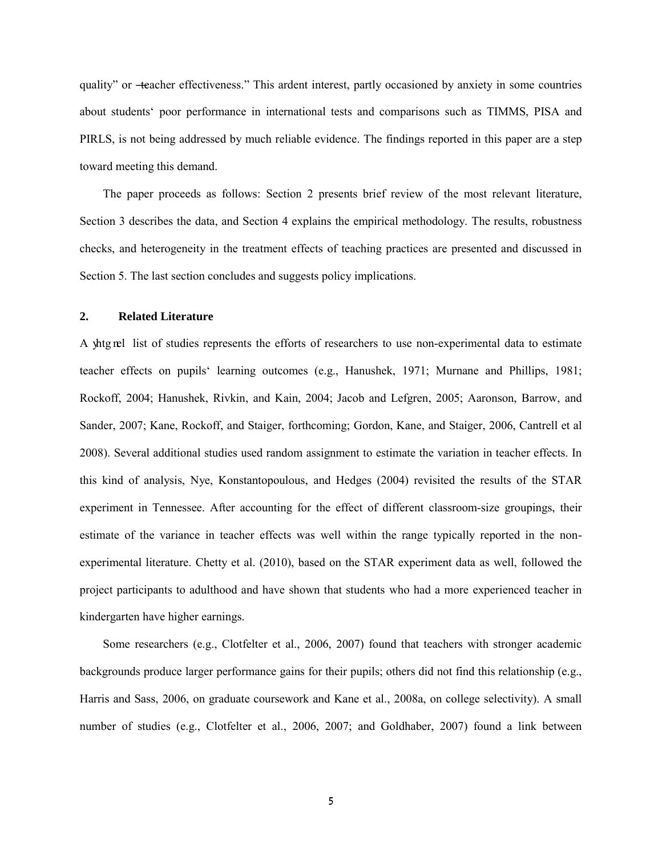quality" or  $-$ teacher effectiveness." This ardent interest, partly occasioned by anxiety in some countries about students' poor performance in international tests and comparisons such as TIMMS, PISA and PIRLS, is not being addressed by much reliable evidence. The findings reported in this paper are a step toward meeting this demand.

The paper proceeds as follows: Section 2 presents brief review of the most relevant literature, Section 3 describes the data, and Section 4 explains the empirical methodology. The results, robustness checks, and heterogeneity in the treatment effects of teaching practices are presented and discussed in Section 5. The last section concludes and suggests policy implications.

#### **2. Related Literature**

A yhtg nel list of studies represents the efforts of researchers to use non-experimental data to estimate teacher effects on pupils' learning outcomes (e.g., Hanushek, 1971; Murnane and Phillips, 1981; Rockoff, 2004; Hanushek, Rivkin, and Kain, 2004; Jacob and Lefgren, 2005; Aaronson, Barrow, and Sander, 2007; Kane, Rockoff, and Staiger, forthcoming; Gordon, Kane, and Staiger, 2006, Cantrell et al 2008). Several additional studies used random assignment to estimate the variation in teacher effects. In this kind of analysis, Nye, Konstantopoulous, and Hedges (2004) revisited the results of the STAR experiment in Tennessee. After accounting for the effect of different classroom-size groupings, their estimate of the variance in teacher effects was well within the range typically reported in the nonexperimental literature. Chetty et al. (2010), based on the STAR experiment data as well, followed the project participants to adulthood and have shown that students who had a more experienced teacher in kindergarten have higher earnings.

Some researchers (e.g., Clotfelter et al., 2006, 2007) found that teachers with stronger academic backgrounds produce larger performance gains for their pupils; others did not find this relationship (e.g., Harris and Sass, 2006, on graduate coursework and Kane et al., 2008a, on college selectivity). A small number of studies (e.g., Clotfelter et al., 2006, 2007; and Goldhaber, 2007) found a link between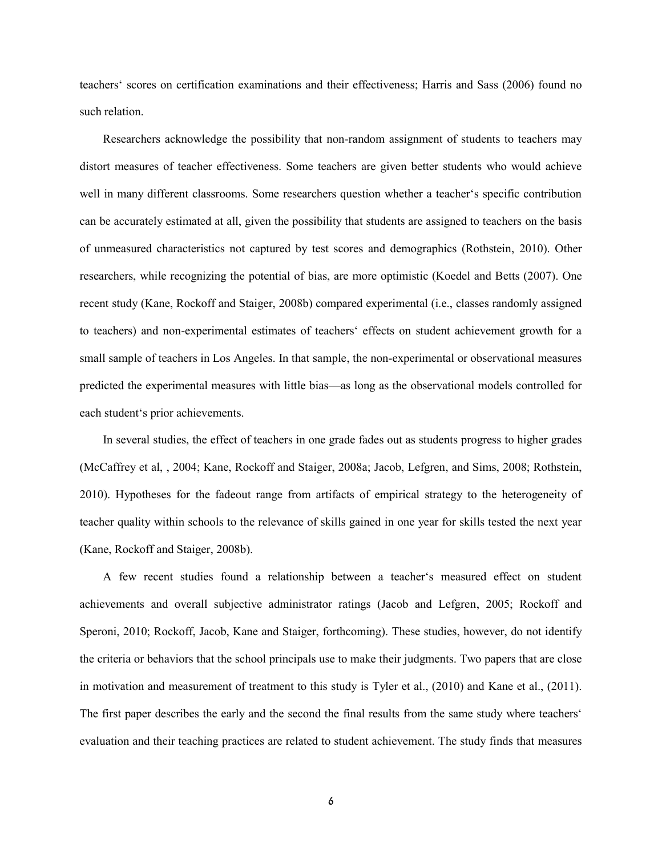teachers' scores on certification examinations and their effectiveness; Harris and Sass (2006) found no such relation.

Researchers acknowledge the possibility that non-random assignment of students to teachers may distort measures of teacher effectiveness. Some teachers are given better students who would achieve well in many different classrooms. Some researchers question whether a teacher's specific contribution can be accurately estimated at all, given the possibility that students are assigned to teachers on the basis of unmeasured characteristics not captured by test scores and demographics (Rothstein, 2010). Other researchers, while recognizing the potential of bias, are more optimistic (Koedel and Betts (2007). One recent study (Kane, Rockoff and Staiger, 2008b) compared experimental (i.e., classes randomly assigned to teachers) and non-experimental estimates of teachers' effects on student achievement growth for a small sample of teachers in Los Angeles. In that sample, the non-experimental or observational measures predicted the experimental measures with little bias—as long as the observational models controlled for each student's prior achievements.

In several studies, the effect of teachers in one grade fades out as students progress to higher grades (McCaffrey et al, , 2004; Kane, Rockoff and Staiger, 2008a; Jacob, Lefgren, and Sims, 2008; Rothstein, 2010). Hypotheses for the fadeout range from artifacts of empirical strategy to the heterogeneity of teacher quality within schools to the relevance of skills gained in one year for skills tested the next year (Kane, Rockoff and Staiger, 2008b).

A few recent studies found a relationship between a teacher's measured effect on student achievements and overall subjective administrator ratings (Jacob and Lefgren, 2005; Rockoff and Speroni, 2010; Rockoff, Jacob, Kane and Staiger, forthcoming). These studies, however, do not identify the criteria or behaviors that the school principals use to make their judgments. Two papers that are close in motivation and measurement of treatment to this study is Tyler et al., (2010) and Kane et al., (2011). The first paper describes the early and the second the final results from the same study where teachers' evaluation and their teaching practices are related to student achievement. The study finds that measures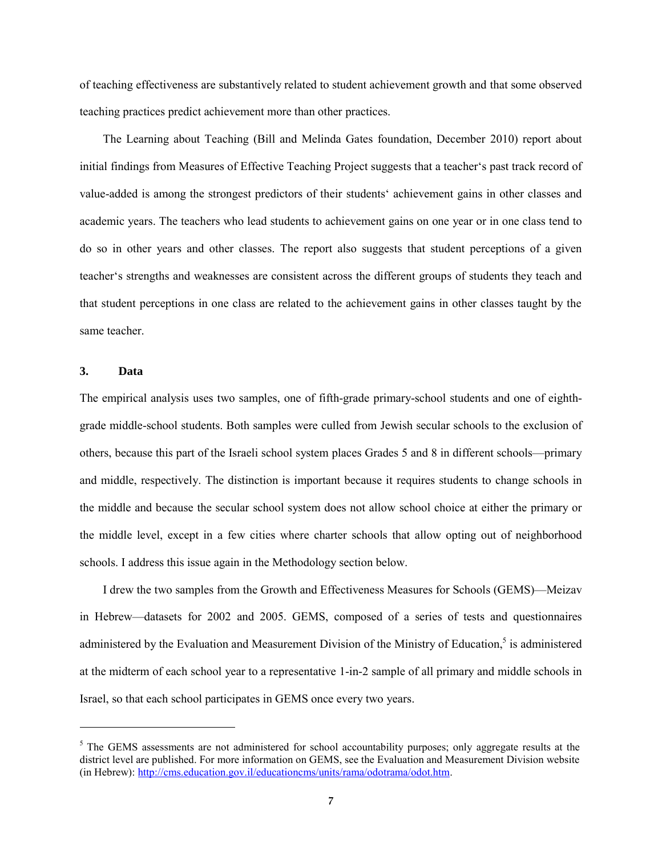of teaching effectiveness are substantively related to student achievement growth and that some observed teaching practices predict achievement more than other practices.

The Learning about Teaching (Bill and Melinda Gates foundation, December 2010) report about initial findings from Measures of Effective Teaching Project suggests that a teacher's past track record of value-added is among the strongest predictors of their students' achievement gains in other classes and academic years. The teachers who lead students to achievement gains on one year or in one class tend to do so in other years and other classes. The report also suggests that student perceptions of a given teacher's strengths and weaknesses are consistent across the different groups of students they teach and that student perceptions in one class are related to the achievement gains in other classes taught by the same teacher.

#### **3. Data**

 $\overline{a}$ 

The empirical analysis uses two samples, one of fifth-grade primary-school students and one of eighthgrade middle-school students. Both samples were culled from Jewish secular schools to the exclusion of others, because this part of the Israeli school system places Grades 5 and 8 in different schools—primary and middle, respectively. The distinction is important because it requires students to change schools in the middle and because the secular school system does not allow school choice at either the primary or the middle level, except in a few cities where charter schools that allow opting out of neighborhood schools. I address this issue again in the Methodology section below.

I drew the two samples from the Growth and Effectiveness Measures for Schools (GEMS)—Meizav in Hebrew—datasets for 2002 and 2005. GEMS, composed of a series of tests and questionnaires administered by the Evaluation and Measurement Division of the Ministry of Education,<sup>5</sup> is administered at the midterm of each school year to a representative 1-in-2 sample of all primary and middle schools in Israel, so that each school participates in GEMS once every two years.

<sup>&</sup>lt;sup>5</sup> The GEMS assessments are not administered for school accountability purposes; only aggregate results at the district level are published. For more information on GEMS, see the Evaluation and Measurement Division website (in Hebrew): [http://cms.education.gov.il/educationcms/units/rama/odotrama/odot.htm.](http://cms.education.gov.il/educationcms/units/rama/odotrama/odot.htm)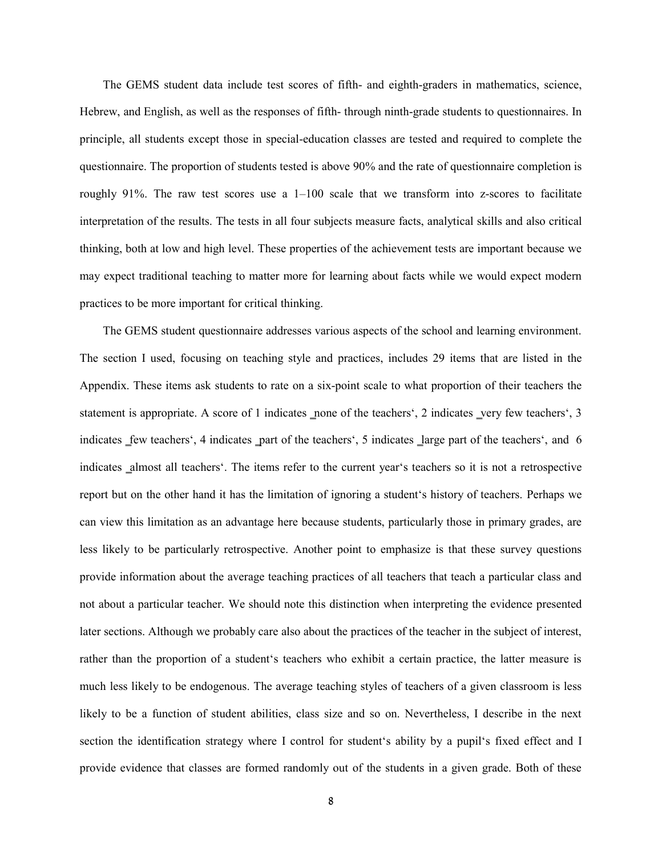The GEMS student data include test scores of fifth- and eighth-graders in mathematics, science, Hebrew, and English, as well as the responses of fifth- through ninth-grade students to questionnaires. In principle, all students except those in special-education classes are tested and required to complete the questionnaire. The proportion of students tested is above 90% and the rate of questionnaire completion is roughly 91%. The raw test scores use a 1–100 scale that we transform into z-scores to facilitate interpretation of the results. The tests in all four subjects measure facts, analytical skills and also critical thinking, both at low and high level. These properties of the achievement tests are important because we may expect traditional teaching to matter more for learning about facts while we would expect modern practices to be more important for critical thinking.

The GEMS student questionnaire addresses various aspects of the school and learning environment. The section I used, focusing on teaching style and practices, includes 29 items that are listed in the Appendix. These items ask students to rate on a six-point scale to what proportion of their teachers the statement is appropriate. A score of 1 indicates none of the teachers', 2 indicates very few teachers', 3 indicates few teachers', 4 indicates part of the teachers', 5 indicates large part of the teachers', and 6 indicates almost all teachers'. The items refer to the current year's teachers so it is not a retrospective report but on the other hand it has the limitation of ignoring a student's history of teachers. Perhaps we can view this limitation as an advantage here because students, particularly those in primary grades, are less likely to be particularly retrospective. Another point to emphasize is that these survey questions provide information about the average teaching practices of all teachers that teach a particular class and not about a particular teacher. We should note this distinction when interpreting the evidence presented later sections. Although we probably care also about the practices of the teacher in the subject of interest, rather than the proportion of a student's teachers who exhibit a certain practice, the latter measure is much less likely to be endogenous. The average teaching styles of teachers of a given classroom is less likely to be a function of student abilities, class size and so on. Nevertheless, I describe in the next section the identification strategy where I control for student's ability by a pupil's fixed effect and I provide evidence that classes are formed randomly out of the students in a given grade. Both of these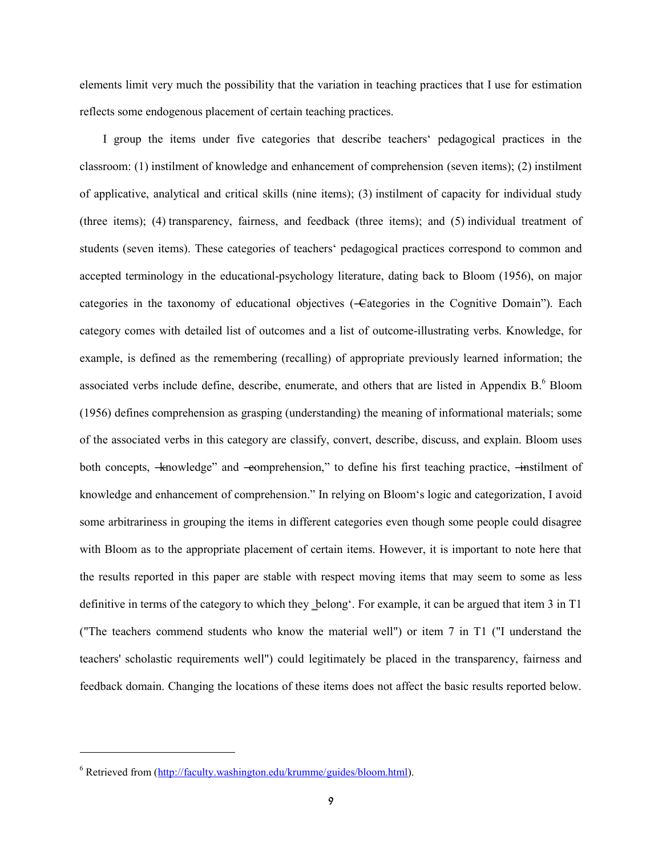elements limit very much the possibility that the variation in teaching practices that I use for estimation reflects some endogenous placement of certain teaching practices.

I group the items under five categories that describe teachers' pedagogical practices in the classroom: (1) instilment of knowledge and enhancement of comprehension (seven items); (2) instilment of applicative, analytical and critical skills (nine items); (3) instilment of capacity for individual study (three items); (4) transparency, fairness, and feedback (three items); and (5) individual treatment of students (seven items). These categories of teachers' pedagogical practices correspond to common and accepted terminology in the educational-psychology literature, dating back to Bloom (1956), on major categories in the taxonomy of educational objectives (-Categories in the Cognitive Domain<sup>"</sup>). Each category comes with detailed list of outcomes and a list of outcome-illustrating verbs. Knowledge, for example, is defined as the remembering (recalling) of appropriate previously learned information; the associated verbs include define, describe, enumerate, and others that are listed in Appendix  $B^6$ . Bloom (1956) defines comprehension as grasping (understanding) the meaning of informational materials; some of the associated verbs in this category are classify, convert, describe, discuss, and explain. Bloom uses both concepts, —knowledge" and —eomprehension," to define his first teaching practice, —instilment of knowledge and enhancement of comprehension." In relying on Bloom's logic and categorization, I avoid some arbitrariness in grouping the items in different categories even though some people could disagree with Bloom as to the appropriate placement of certain items. However, it is important to note here that the results reported in this paper are stable with respect moving items that may seem to some as less definitive in terms of the category to which they belong'. For example, it can be argued that item 3 in T1 ("The teachers commend students who know the material well") or item 7 in T1 ("I understand the teachers' scholastic requirements well") could legitimately be placed in the transparency, fairness and feedback domain. Changing the locations of these items does not affect the basic results reported below.

 $\overline{a}$ 

<sup>&</sup>lt;sup>6</sup> Retrieved from [\(http://faculty.washington.edu/krumme/guides/bloom.html\)](http://faculty.washington.edu/krumme/guides/bloom.html).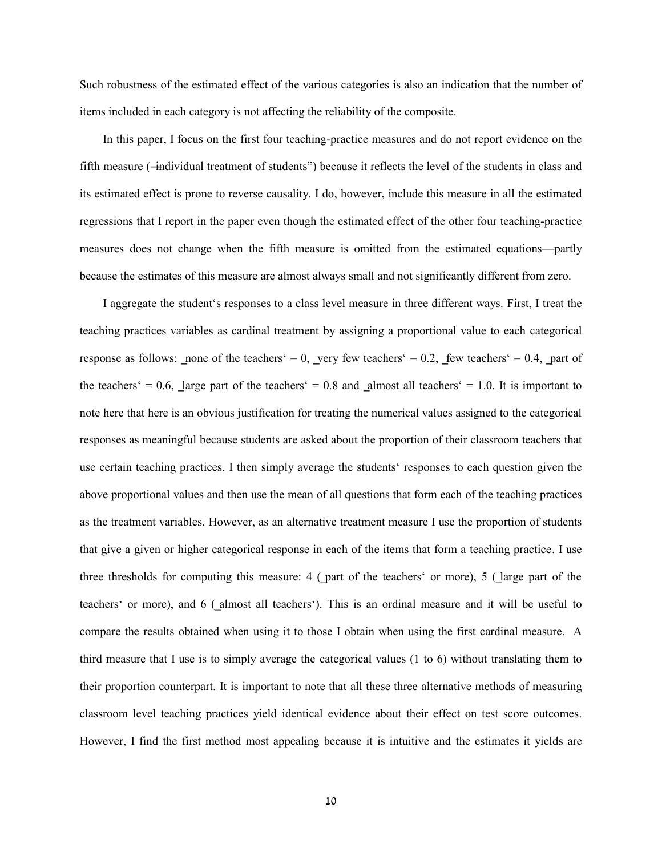Such robustness of the estimated effect of the various categories is also an indication that the number of items included in each category is not affecting the reliability of the composite.

In this paper, I focus on the first four teaching-practice measures and do not report evidence on the fifth measure (—individual treatment of students") because it reflects the level of the students in class and its estimated effect is prone to reverse causality. I do, however, include this measure in all the estimated regressions that I report in the paper even though the estimated effect of the other four teaching-practice measures does not change when the fifth measure is omitted from the estimated equations—partly because the estimates of this measure are almost always small and not significantly different from zero.

I aggregate the student's responses to a class level measure in three different ways. First, I treat the teaching practices variables as cardinal treatment by assigning a proportional value to each categorical response as follows: none of the teachers' = 0, very few teachers' = 0.2,  $\text{few}$  teachers' = 0.4,  $\text{part}$  of the teachers' = 0.6, large part of the teachers' = 0.8 and almost all teachers' = 1.0. It is important to note here that here is an obvious justification for treating the numerical values assigned to the categorical responses as meaningful because students are asked about the proportion of their classroom teachers that use certain teaching practices. I then simply average the students' responses to each question given the above proportional values and then use the mean of all questions that form each of the teaching practices as the treatment variables. However, as an alternative treatment measure I use the proportion of students that give a given or higher categorical response in each of the items that form a teaching practice. I use three thresholds for computing this measure:  $4$  (epart of the teachers' or more),  $5$  (large part of the teachers' or more), and 6 (almost all teachers'). This is an ordinal measure and it will be useful to compare the results obtained when using it to those I obtain when using the first cardinal measure. A third measure that I use is to simply average the categorical values (1 to 6) without translating them to their proportion counterpart. It is important to note that all these three alternative methods of measuring classroom level teaching practices yield identical evidence about their effect on test score outcomes. However, I find the first method most appealing because it is intuitive and the estimates it yields are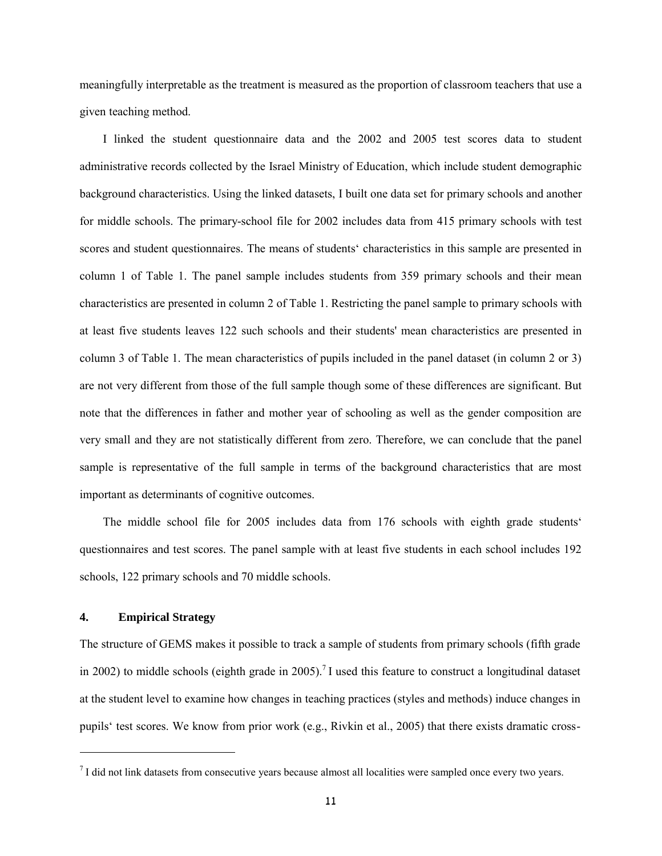meaningfully interpretable as the treatment is measured as the proportion of classroom teachers that use a given teaching method.

I linked the student questionnaire data and the 2002 and 2005 test scores data to student administrative records collected by the Israel Ministry of Education, which include student demographic background characteristics. Using the linked datasets, I built one data set for primary schools and another for middle schools. The primary-school file for 2002 includes data from 415 primary schools with test scores and student questionnaires. The means of students' characteristics in this sample are presented in column 1 of Table 1. The panel sample includes students from 359 primary schools and their mean characteristics are presented in column 2 of Table 1. Restricting the panel sample to primary schools with at least five students leaves 122 such schools and their students' mean characteristics are presented in column 3 of Table 1. The mean characteristics of pupils included in the panel dataset (in column 2 or 3) are not very different from those of the full sample though some of these differences are significant. But note that the differences in father and mother year of schooling as well as the gender composition are very small and they are not statistically different from zero. Therefore, we can conclude that the panel sample is representative of the full sample in terms of the background characteristics that are most important as determinants of cognitive outcomes.

The middle school file for 2005 includes data from 176 schools with eighth grade students' questionnaires and test scores. The panel sample with at least five students in each school includes 192 schools, 122 primary schools and 70 middle schools.

#### **4. Empirical Strategy**

 $\overline{a}$ 

The structure of GEMS makes it possible to track a sample of students from primary schools (fifth grade in 2002) to middle schools (eighth grade in 2005).<sup>7</sup> I used this feature to construct a longitudinal dataset at the student level to examine how changes in teaching practices (styles and methods) induce changes in pupils' test scores. We know from prior work (e.g., Rivkin et al., 2005) that there exists dramatic cross-

 $<sup>7</sup>$  I did not link datasets from consecutive years because almost all localities were sampled once every two years.</sup>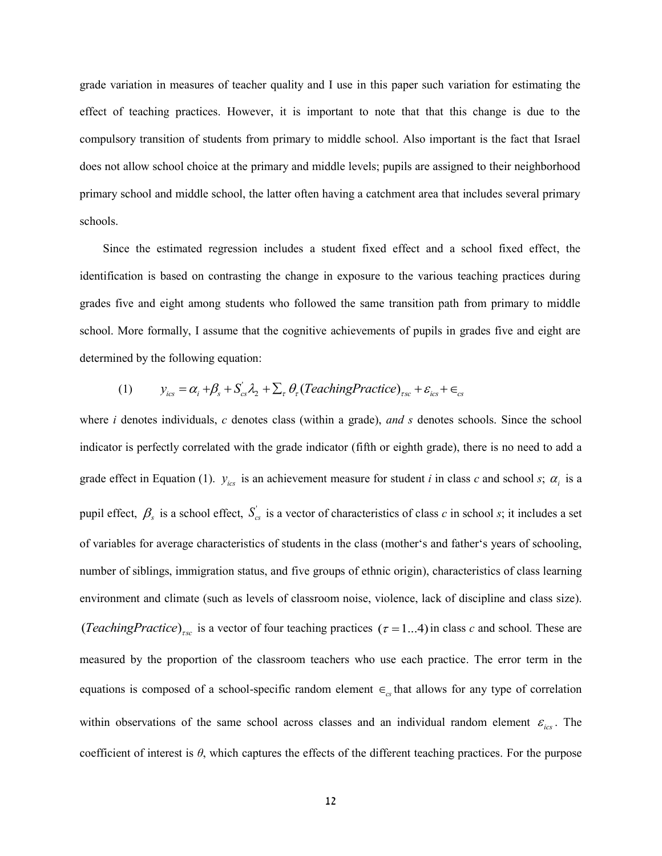grade variation in measures of teacher quality and I use in this paper such variation for estimating the effect of teaching practices. However, it is important to note that that this change is due to the compulsory transition of students from primary to middle school. Also important is the fact that Israel does not allow school choice at the primary and middle levels; pupils are assigned to their neighborhood primary school and middle school, the latter often having a catchment area that includes several primary schools.

Since the estimated regression includes a student fixed effect and a school fixed effect, the identification is based on contrasting the change in exposure to the various teaching practices during grades five and eight among students who followed the same transition path from primary to middle school. More formally, I assume that the cognitive achievements of pupils in grades five and eight are determined by the following equation: e following equation:<br>  $y_{ics} = \alpha_i + \beta_s + S_{cs}^{\prime} \lambda_2 + \sum_{\tau} \theta_{\tau} (TeachingPractice)_{\tau sc} + \varepsilon_{ics} + \epsilon_{cs}$ 

(1) 
$$
y_{ics} = \alpha_i + \beta_s + S_{cs} \lambda_2 + \sum_{\tau} \theta_{\tau} (TeachingPractice)_{\tau sc} + \varepsilon_{ics} + \epsilon_{cs}
$$

where *i* denotes individuals, *c* denotes class (within a grade), *and s* denotes schools. Since the school indicator is perfectly correlated with the grade indicator (fifth or eighth grade), there is no need to add a grade effect in Equation (1).  $y_{ics}$  is an achievement measure for student *i* in class *c* and school *s*;  $\alpha_i$  is a pupil effect,  $\beta_s$  is a school effect,  $S_{cs}$  is a vector of characteristics of class *c* in school *s*; it includes a set of variables for average characteristics of students in the class (mother's and father's years of schooling, number of siblings, immigration status, and five groups of ethnic origin), characteristics of class learning environment and climate (such as levels of classroom noise, violence, lack of discipline and class size). (*TeachingPractice*)<sub>*rsc*</sub> is a vector of four teaching practices ( $\tau$  = 1...4) in class *c* and school. These are measured by the proportion of the classroom teachers who use each practice. The error term in the equations is composed of a school-specific random element  $\epsilon_{cs}$  that allows for any type of correlation within observations of the same school across classes and an individual random element  $\varepsilon_{ics}$ . The coefficient of interest is *θ*, which captures the effects of the different teaching practices. For the purpose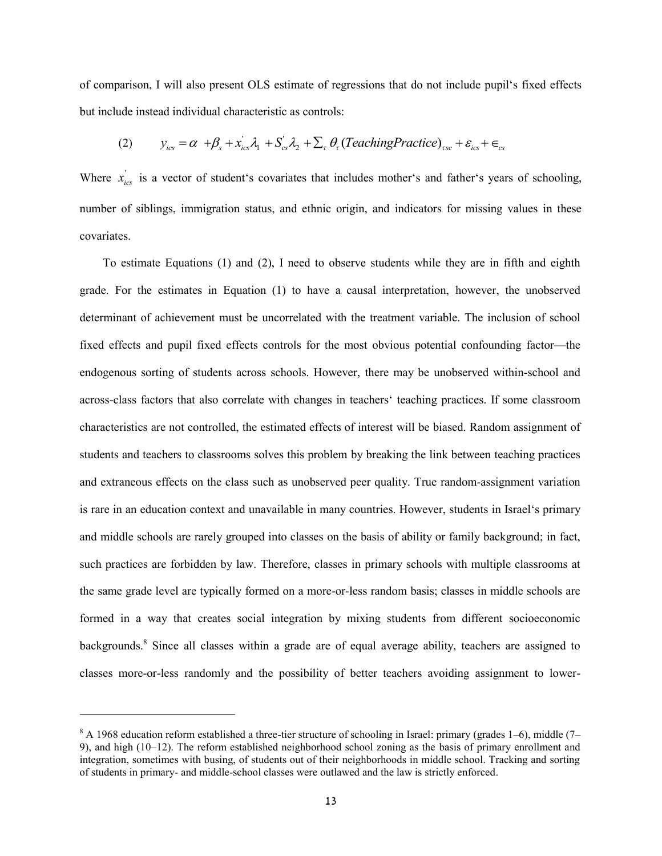of comparison, I will also present OLS estimate of regressions that do not include pupil's fixed effects but include instead individual characteristic as controls: ad individual characteristic as controls:<br>  $y_{ics} = \alpha + \beta_s + x_{ics}^{\dagger} \lambda_1 + S_{cs}^{\dagger} \lambda_2 + \sum_{\tau} \theta_{\tau} (TeachingPractice)_{\tau sc} + \varepsilon_{ics} + \epsilon_{cs}$ 

(2) 
$$
y_{ics} = \alpha + \beta_s + x_{ics}'\lambda_1 + S_{cs}'\lambda_2 + \sum_{\tau} \theta_{\tau} (TeachingPractice)_{\tau sc} + \varepsilon_{ics} + \varepsilon_{cs}
$$

Where  $x'_{ics}$  is a vector of student's covariates that includes mother's and father's years of schooling, number of siblings, immigration status, and ethnic origin, and indicators for missing values in these covariates.

To estimate Equations (1) and (2), I need to observe students while they are in fifth and eighth grade. For the estimates in Equation (1) to have a causal interpretation, however, the unobserved determinant of achievement must be uncorrelated with the treatment variable. The inclusion of school fixed effects and pupil fixed effects controls for the most obvious potential confounding factor—the endogenous sorting of students across schools. However, there may be unobserved within-school and across-class factors that also correlate with changes in teachers' teaching practices. If some classroom characteristics are not controlled, the estimated effects of interest will be biased. Random assignment of students and teachers to classrooms solves this problem by breaking the link between teaching practices and extraneous effects on the class such as unobserved peer quality. True random-assignment variation is rare in an education context and unavailable in many countries. However, students in Israel's primary and middle schools are rarely grouped into classes on the basis of ability or family background; in fact, such practices are forbidden by law. Therefore, classes in primary schools with multiple classrooms at the same grade level are typically formed on a more-or-less random basis; classes in middle schools are formed in a way that creates social integration by mixing students from different socioeconomic backgrounds.<sup>8</sup> Since all classes within a grade are of equal average ability, teachers are assigned to classes more-or-less randomly and the possibility of better teachers avoiding assignment to lower-

 $\overline{a}$ 

 $8$  A 1968 education reform established a three-tier structure of schooling in Israel: primary (grades 1–6), middle (7– 9), and high (10–12). The reform established neighborhood school zoning as the basis of primary enrollment and integration, sometimes with busing, of students out of their neighborhoods in middle school. Tracking and sorting of students in primary- and middle-school classes were outlawed and the law is strictly enforced.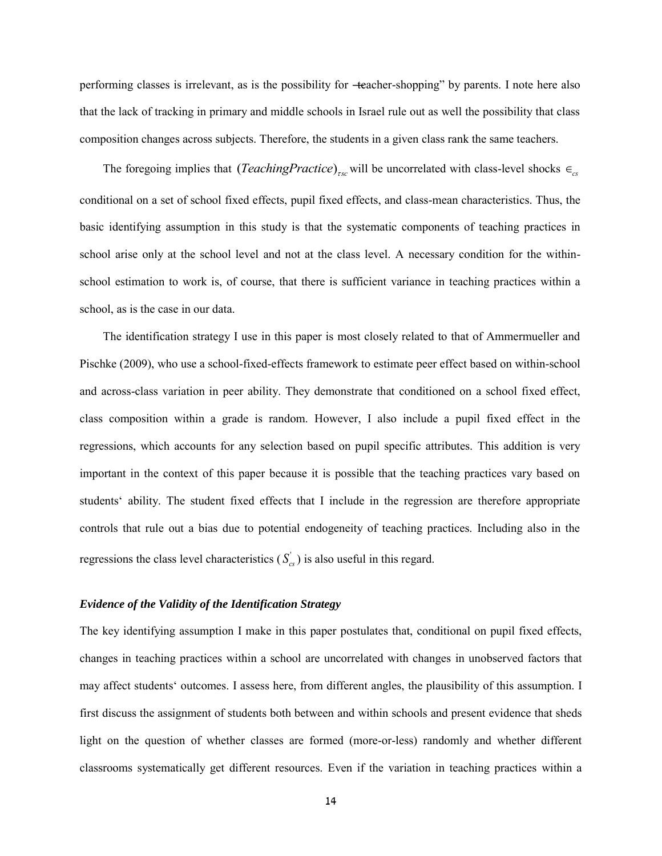performing classes is irrelevant, as is the possibility for —teacher-shopping" by parents. I note here also that the lack of tracking in primary and middle schools in Israel rule out as well the possibility that class composition changes across subjects. Therefore, the students in a given class rank the same teachers.

The foregoing implies that  $(TeachingPractice)_{rsc}$  will be uncorrelated with class-level shocks  $\epsilon_{cs}$ conditional on a set of school fixed effects, pupil fixed effects, and class-mean characteristics. Thus, the basic identifying assumption in this study is that the systematic components of teaching practices in school arise only at the school level and not at the class level. A necessary condition for the withinschool estimation to work is, of course, that there is sufficient variance in teaching practices within a school, as is the case in our data.

The identification strategy I use in this paper is most closely related to that of Ammermueller and Pischke (2009), who use a school-fixed-effects framework to estimate peer effect based on within-school and across-class variation in peer ability. They demonstrate that conditioned on a school fixed effect, class composition within a grade is random. However, I also include a pupil fixed effect in the regressions, which accounts for any selection based on pupil specific attributes. This addition is very important in the context of this paper because it is possible that the teaching practices vary based on students' ability. The student fixed effects that I include in the regression are therefore appropriate controls that rule out a bias due to potential endogeneity of teaching practices. Including also in the regressions the class level characteristics  $(S'_{cs})$  is also useful in this regard.

#### *Evidence of the Validity of the Identification Strategy*

The key identifying assumption I make in this paper postulates that, conditional on pupil fixed effects, changes in teaching practices within a school are uncorrelated with changes in unobserved factors that may affect students' outcomes. I assess here, from different angles, the plausibility of this assumption. I first discuss the assignment of students both between and within schools and present evidence that sheds light on the question of whether classes are formed (more-or-less) randomly and whether different classrooms systematically get different resources. Even if the variation in teaching practices within a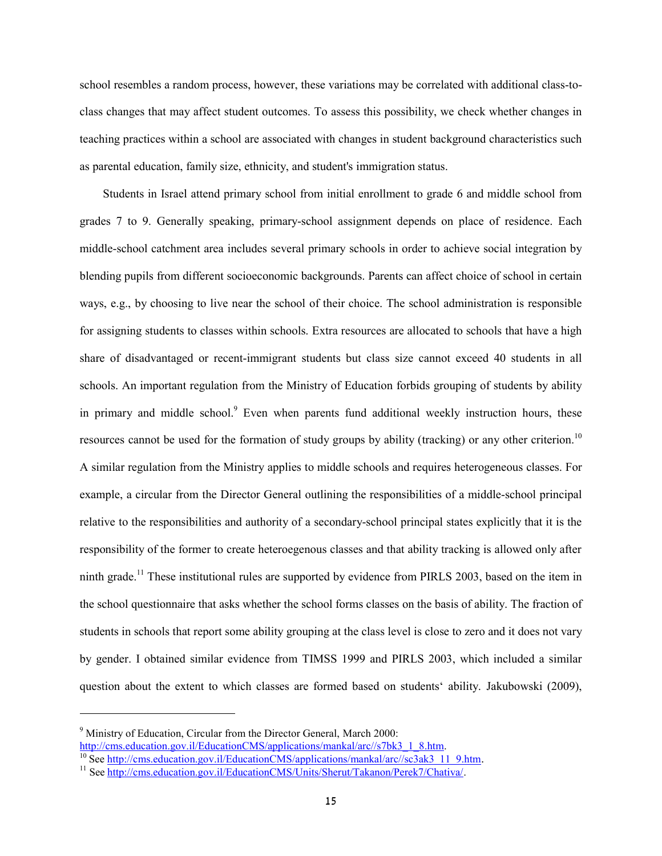school resembles a random process, however, these variations may be correlated with additional class-toclass changes that may affect student outcomes. To assess this possibility, we check whether changes in teaching practices within a school are associated with changes in student background characteristics such as parental education, family size, ethnicity, and student's immigration status.

Students in Israel attend primary school from initial enrollment to grade 6 and middle school from grades 7 to 9. Generally speaking, primary-school assignment depends on place of residence. Each middle-school catchment area includes several primary schools in order to achieve social integration by blending pupils from different socioeconomic backgrounds. Parents can affect choice of school in certain ways, e.g., by choosing to live near the school of their choice. The school administration is responsible for assigning students to classes within schools. Extra resources are allocated to schools that have a high share of disadvantaged or recent-immigrant students but class size cannot exceed 40 students in all schools. An important regulation from the Ministry of Education forbids grouping of students by ability in primary and middle school.<sup>9</sup> Even when parents fund additional weekly instruction hours, these resources cannot be used for the formation of study groups by ability (tracking) or any other criterion.<sup>10</sup> A similar regulation from the Ministry applies to middle schools and requires heterogeneous classes. For example, a circular from the Director General outlining the responsibilities of a middle-school principal relative to the responsibilities and authority of a secondary-school principal states explicitly that it is the responsibility of the former to create heteroegenous classes and that ability tracking is allowed only after ninth grade.<sup>11</sup> These institutional rules are supported by evidence from PIRLS 2003, based on the item in the school questionnaire that asks whether the school forms classes on the basis of ability. The fraction of students in schools that report some ability grouping at the class level is close to zero and it does not vary by gender. I obtained similar evidence from TIMSS 1999 and PIRLS 2003, which included a similar question about the extent to which classes are formed based on students' ability. Jakubowski (2009),

 $\overline{a}$ 

<sup>&</sup>lt;sup>9</sup> Ministry of Education, Circular from the Director General, March 2000: [http://cms.education.gov.il/EducationCMS/applications/mankal/arc//s7bk3\\_1\\_8.htm.](http://cms.education.gov.il/EducationCMS/applications/mankal/arc/s7bk3_1_8.htm)

<sup>&</sup>lt;sup>10</sup> See http://cms.education.gov.il/EducationCMS/applications/mankal/arc//sc3ak3\_11\_9.htm.

<sup>&</sup>lt;sup>11</sup> See http://cms.education.gov.il/EducationCMS/Units/Sherut/Takanon/Perek7/Chativa/.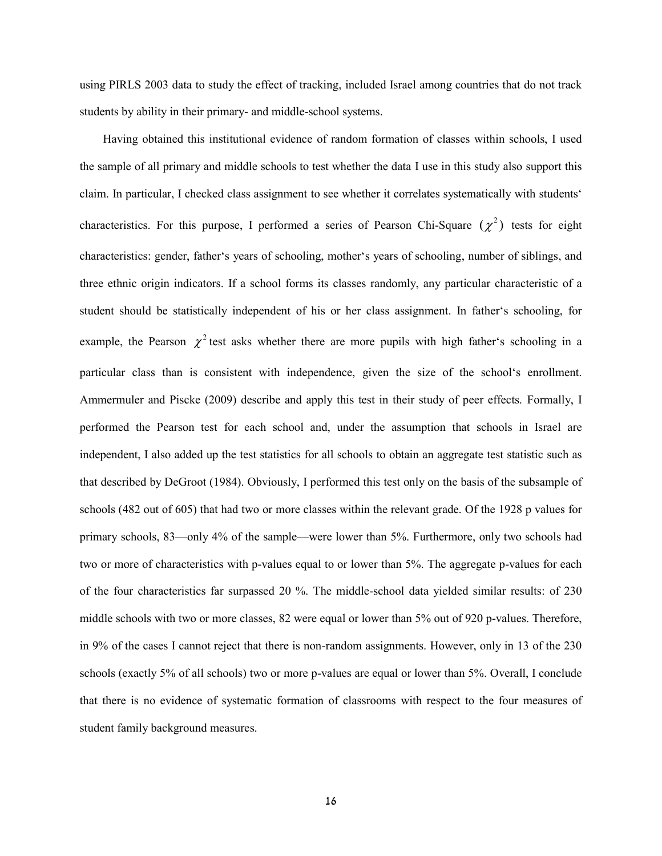using PIRLS 2003 data to study the effect of tracking, included Israel among countries that do not track students by ability in their primary- and middle-school systems.

Having obtained this institutional evidence of random formation of classes within schools, I used the sample of all primary and middle schools to test whether the data I use in this study also support this claim. In particular, I checked class assignment to see whether it correlates systematically with students' characteristics. For this purpose, I performed a series of Pearson Chi-Square  $(\chi^2)$  tests for eight characteristics: gender, father's years of schooling, mother's years of schooling, number of siblings, and three ethnic origin indicators. If a school forms its classes randomly, any particular characteristic of a student should be statistically independent of his or her class assignment. In father's schooling, for example, the Pearson  $\chi^2$  test asks whether there are more pupils with high father's schooling in a particular class than is consistent with independence, given the size of the school's enrollment. Ammermuler and Piscke (2009) describe and apply this test in their study of peer effects. Formally, I performed the Pearson test for each school and, under the assumption that schools in Israel are independent, I also added up the test statistics for all schools to obtain an aggregate test statistic such as that described by DeGroot (1984). Obviously, I performed this test only on the basis of the subsample of schools (482 out of 605) that had two or more classes within the relevant grade. Of the 1928 p values for primary schools, 83—only 4% of the sample—were lower than 5%. Furthermore, only two schools had two or more of characteristics with p-values equal to or lower than 5%. The aggregate p-values for each of the four characteristics far surpassed 20 %. The middle-school data yielded similar results: of 230 middle schools with two or more classes, 82 were equal or lower than 5% out of 920 p-values. Therefore, in 9% of the cases I cannot reject that there is non-random assignments. However, only in 13 of the 230 schools (exactly 5% of all schools) two or more p-values are equal or lower than 5%. Overall, I conclude that there is no evidence of systematic formation of classrooms with respect to the four measures of student family background measures.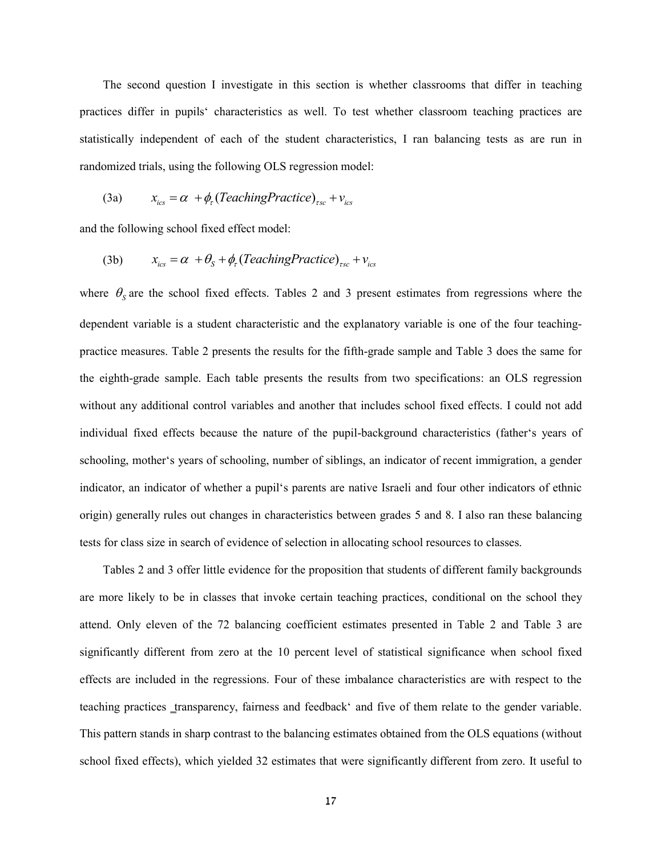The second question I investigate in this section is whether classrooms that differ in teaching practices differ in pupils' characteristics as well. To test whether classroom teaching practices are statistically independent of each of the student characteristics, I ran balancing tests as are run in randomized trials, using the following OLS regression model:

(3a) 
$$
x_{ics} = \alpha + \phi_r (TeachingPractice)_{rsc} + v_{ics}
$$

and the following school fixed effect model:

(3b) 
$$
x_{ics} = \alpha + \theta_s + \phi_t (TeachingPractice)_{rsc} + v_{ics}
$$

where  $\theta_s$  are the school fixed effects. Tables 2 and 3 present estimates from regressions where the dependent variable is a student characteristic and the explanatory variable is one of the four teachingpractice measures. Table 2 presents the results for the fifth-grade sample and Table 3 does the same for the eighth-grade sample. Each table presents the results from two specifications: an OLS regression without any additional control variables and another that includes school fixed effects. I could not add individual fixed effects because the nature of the pupil-background characteristics (father's years of schooling, mother's years of schooling, number of siblings, an indicator of recent immigration, a gender indicator, an indicator of whether a pupil's parents are native Israeli and four other indicators of ethnic origin) generally rules out changes in characteristics between grades 5 and 8. I also ran these balancing tests for class size in search of evidence of selection in allocating school resources to classes.

Tables 2 and 3 offer little evidence for the proposition that students of different family backgrounds are more likely to be in classes that invoke certain teaching practices, conditional on the school they attend. Only eleven of the 72 balancing coefficient estimates presented in Table 2 and Table 3 are significantly different from zero at the 10 percent level of statistical significance when school fixed effects are included in the regressions. Four of these imbalance characteristics are with respect to the teaching practices transparency, fairness and feedback' and five of them relate to the gender variable. This pattern stands in sharp contrast to the balancing estimates obtained from the OLS equations (without school fixed effects), which yielded 32 estimates that were significantly different from zero. It useful to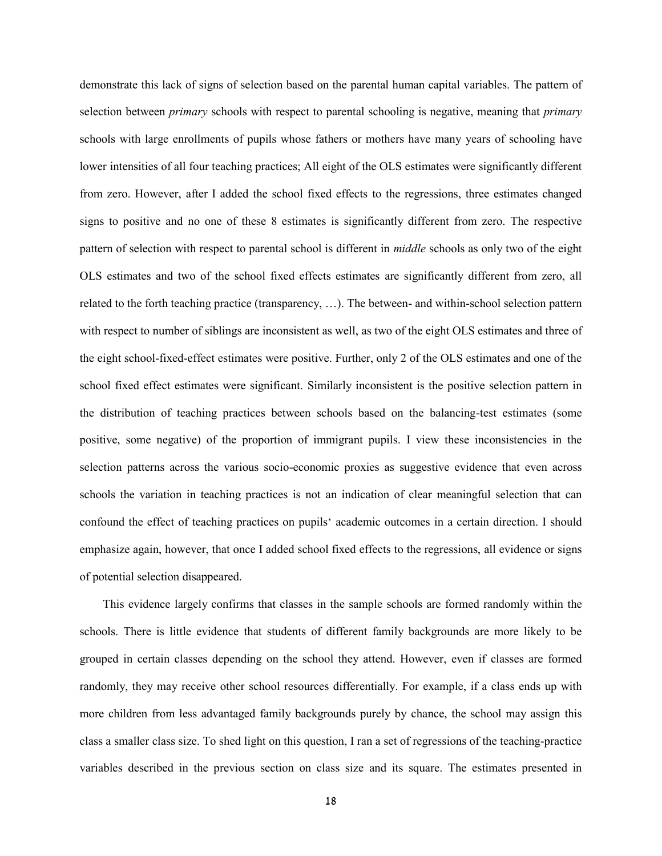demonstrate this lack of signs of selection based on the parental human capital variables. The pattern of selection between *primary* schools with respect to parental schooling is negative, meaning that *primary* schools with large enrollments of pupils whose fathers or mothers have many years of schooling have lower intensities of all four teaching practices; All eight of the OLS estimates were significantly different from zero. However, after I added the school fixed effects to the regressions, three estimates changed signs to positive and no one of these 8 estimates is significantly different from zero. The respective pattern of selection with respect to parental school is different in *middle* schools as only two of the eight OLS estimates and two of the school fixed effects estimates are significantly different from zero, all related to the forth teaching practice (transparency, …). The between- and within-school selection pattern with respect to number of siblings are inconsistent as well, as two of the eight OLS estimates and three of the eight school-fixed-effect estimates were positive. Further, only 2 of the OLS estimates and one of the school fixed effect estimates were significant. Similarly inconsistent is the positive selection pattern in the distribution of teaching practices between schools based on the balancing-test estimates (some positive, some negative) of the proportion of immigrant pupils. I view these inconsistencies in the selection patterns across the various socio-economic proxies as suggestive evidence that even across schools the variation in teaching practices is not an indication of clear meaningful selection that can confound the effect of teaching practices on pupils' academic outcomes in a certain direction. I should emphasize again, however, that once I added school fixed effects to the regressions, all evidence or signs of potential selection disappeared.

This evidence largely confirms that classes in the sample schools are formed randomly within the schools. There is little evidence that students of different family backgrounds are more likely to be grouped in certain classes depending on the school they attend. However, even if classes are formed randomly, they may receive other school resources differentially. For example, if a class ends up with more children from less advantaged family backgrounds purely by chance, the school may assign this class a smaller class size. To shed light on this question, I ran a set of regressions of the teaching-practice variables described in the previous section on class size and its square. The estimates presented in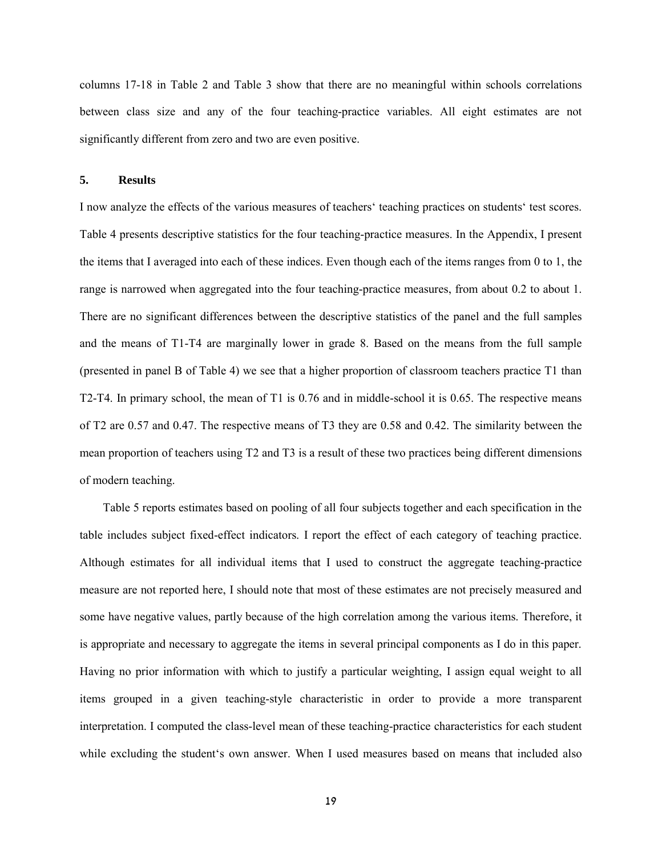columns 17-18 in Table 2 and Table 3 show that there are no meaningful within schools correlations between class size and any of the four teaching-practice variables. All eight estimates are not significantly different from zero and two are even positive.

#### **5. Results**

I now analyze the effects of the various measures of teachers' teaching practices on students' test scores. Table 4 presents descriptive statistics for the four teaching-practice measures. In the Appendix, I present the items that I averaged into each of these indices. Even though each of the items ranges from 0 to 1, the range is narrowed when aggregated into the four teaching-practice measures, from about 0.2 to about 1. There are no significant differences between the descriptive statistics of the panel and the full samples and the means of T1-T4 are marginally lower in grade 8. Based on the means from the full sample (presented in panel B of Table 4) we see that a higher proportion of classroom teachers practice T1 than T2-T4. In primary school, the mean of T1 is 0.76 and in middle-school it is 0.65. The respective means of T2 are 0.57 and 0.47. The respective means of T3 they are 0.58 and 0.42. The similarity between the mean proportion of teachers using T2 and T3 is a result of these two practices being different dimensions of modern teaching.

Table 5 reports estimates based on pooling of all four subjects together and each specification in the table includes subject fixed-effect indicators. I report the effect of each category of teaching practice. Although estimates for all individual items that I used to construct the aggregate teaching-practice measure are not reported here, I should note that most of these estimates are not precisely measured and some have negative values, partly because of the high correlation among the various items. Therefore, it is appropriate and necessary to aggregate the items in several principal components as I do in this paper. Having no prior information with which to justify a particular weighting, I assign equal weight to all items grouped in a given teaching-style characteristic in order to provide a more transparent interpretation. I computed the class-level mean of these teaching-practice characteristics for each student while excluding the student's own answer. When I used measures based on means that included also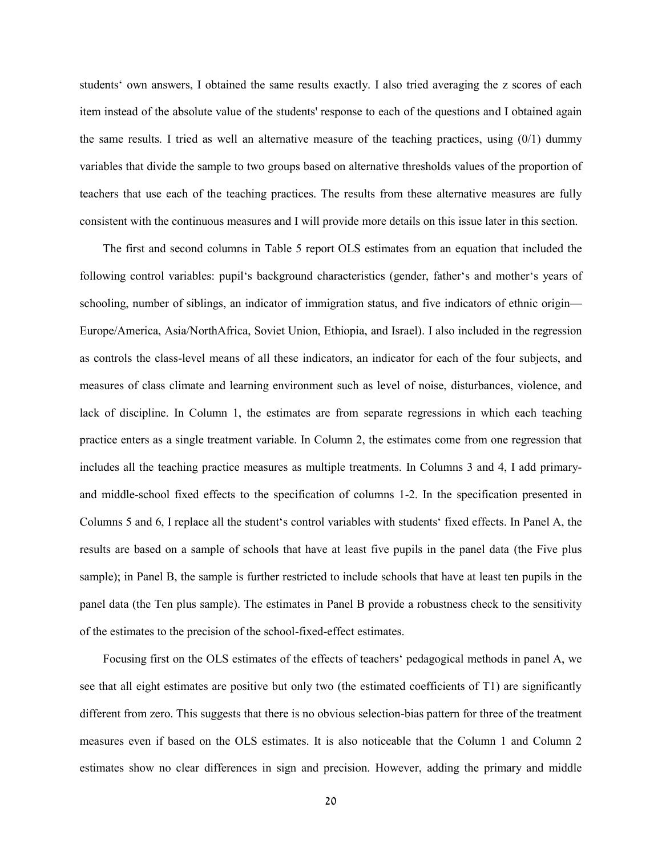students' own answers, I obtained the same results exactly. I also tried averaging the z scores of each item instead of the absolute value of the students' response to each of the questions and I obtained again the same results. I tried as well an alternative measure of the teaching practices, using  $(0/1)$  dummy variables that divide the sample to two groups based on alternative thresholds values of the proportion of teachers that use each of the teaching practices. The results from these alternative measures are fully consistent with the continuous measures and I will provide more details on this issue later in this section.

The first and second columns in Table 5 report OLS estimates from an equation that included the following control variables: pupil's background characteristics (gender, father's and mother's years of schooling, number of siblings, an indicator of immigration status, and five indicators of ethnic origin— Europe/America, Asia/NorthAfrica, Soviet Union, Ethiopia, and Israel). I also included in the regression as controls the class-level means of all these indicators, an indicator for each of the four subjects, and measures of class climate and learning environment such as level of noise, disturbances, violence, and lack of discipline. In Column 1, the estimates are from separate regressions in which each teaching practice enters as a single treatment variable. In Column 2, the estimates come from one regression that includes all the teaching practice measures as multiple treatments. In Columns 3 and 4, I add primaryand middle-school fixed effects to the specification of columns 1-2. In the specification presented in Columns 5 and 6, I replace all the student's control variables with students' fixed effects. In Panel A, the results are based on a sample of schools that have at least five pupils in the panel data (the Five plus sample); in Panel B, the sample is further restricted to include schools that have at least ten pupils in the panel data (the Ten plus sample). The estimates in Panel B provide a robustness check to the sensitivity of the estimates to the precision of the school-fixed-effect estimates.

Focusing first on the OLS estimates of the effects of teachers' pedagogical methods in panel A, we see that all eight estimates are positive but only two (the estimated coefficients of T1) are significantly different from zero. This suggests that there is no obvious selection-bias pattern for three of the treatment measures even if based on the OLS estimates. It is also noticeable that the Column 1 and Column 2 estimates show no clear differences in sign and precision. However, adding the primary and middle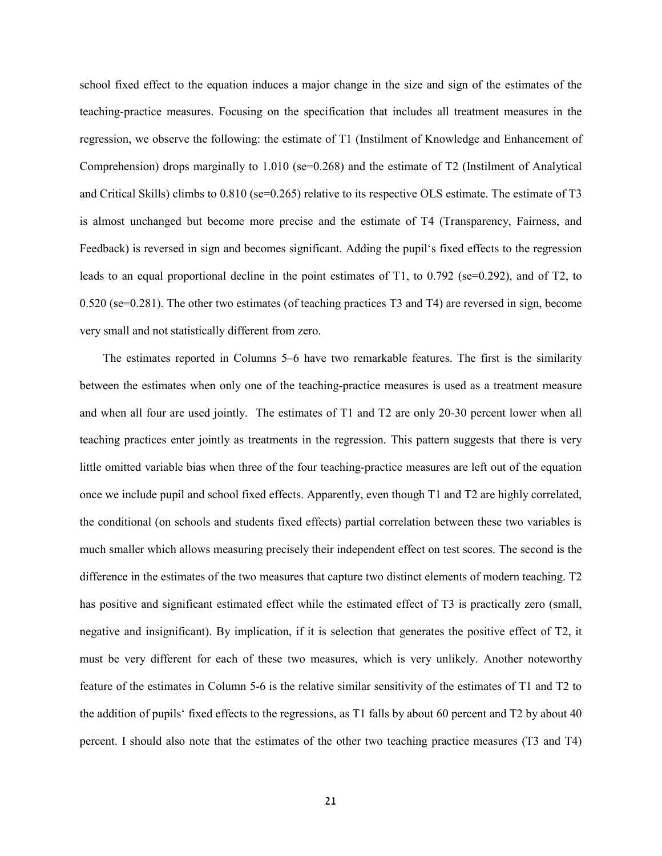school fixed effect to the equation induces a major change in the size and sign of the estimates of the teaching-practice measures. Focusing on the specification that includes all treatment measures in the regression, we observe the following: the estimate of T1 (Instilment of Knowledge and Enhancement of Comprehension) drops marginally to 1.010 (se=0.268) and the estimate of T2 (Instilment of Analytical and Critical Skills) climbs to 0.810 (se=0.265) relative to its respective OLS estimate. The estimate of T3 is almost unchanged but become more precise and the estimate of T4 (Transparency, Fairness, and Feedback) is reversed in sign and becomes significant. Adding the pupil's fixed effects to the regression leads to an equal proportional decline in the point estimates of T1, to  $0.792$  (se=0.292), and of T2, to 0.520 (se=0.281). The other two estimates (of teaching practices T3 and T4) are reversed in sign, become very small and not statistically different from zero.

The estimates reported in Columns 5–6 have two remarkable features. The first is the similarity between the estimates when only one of the teaching-practice measures is used as a treatment measure and when all four are used jointly. The estimates of T1 and T2 are only 20-30 percent lower when all teaching practices enter jointly as treatments in the regression. This pattern suggests that there is very little omitted variable bias when three of the four teaching-practice measures are left out of the equation once we include pupil and school fixed effects. Apparently, even though T1 and T2 are highly correlated, the conditional (on schools and students fixed effects) partial correlation between these two variables is much smaller which allows measuring precisely their independent effect on test scores. The second is the difference in the estimates of the two measures that capture two distinct elements of modern teaching. T2 has positive and significant estimated effect while the estimated effect of T3 is practically zero (small, negative and insignificant). By implication, if it is selection that generates the positive effect of T2, it must be very different for each of these two measures, which is very unlikely. Another noteworthy feature of the estimates in Column 5-6 is the relative similar sensitivity of the estimates of T1 and T2 to the addition of pupils' fixed effects to the regressions, as T1 falls by about 60 percent and T2 by about 40 percent. I should also note that the estimates of the other two teaching practice measures (T3 and T4)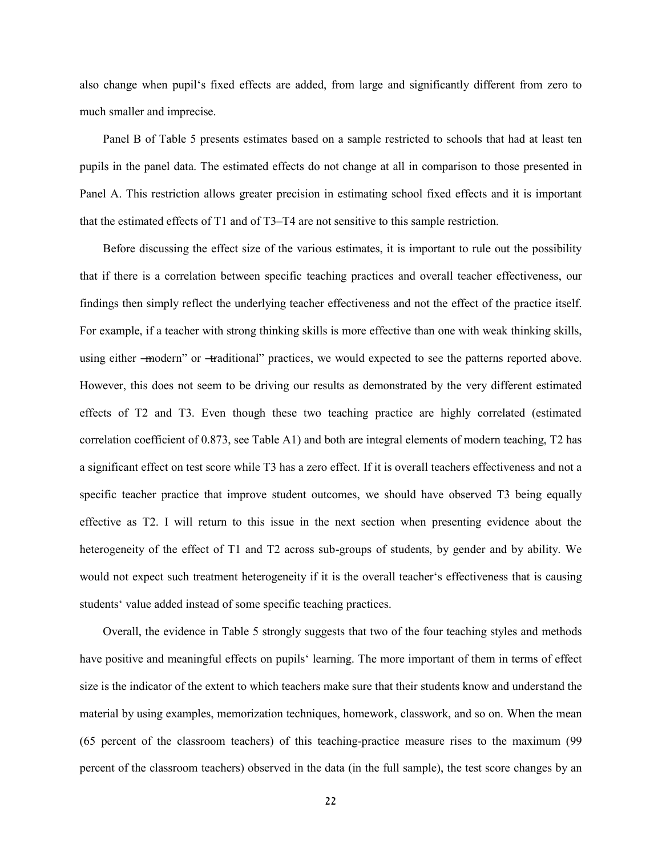also change when pupil's fixed effects are added, from large and significantly different from zero to much smaller and imprecise.

Panel B of Table 5 presents estimates based on a sample restricted to schools that had at least ten pupils in the panel data. The estimated effects do not change at all in comparison to those presented in Panel A. This restriction allows greater precision in estimating school fixed effects and it is important that the estimated effects of T1 and of T3–T4 are not sensitive to this sample restriction.

Before discussing the effect size of the various estimates, it is important to rule out the possibility that if there is a correlation between specific teaching practices and overall teacher effectiveness, our findings then simply reflect the underlying teacher effectiveness and not the effect of the practice itself. For example, if a teacher with strong thinking skills is more effective than one with weak thinking skills, using either —modern" or —traditional" practices, we would expected to see the patterns reported above. However, this does not seem to be driving our results as demonstrated by the very different estimated effects of T2 and T3. Even though these two teaching practice are highly correlated (estimated correlation coefficient of 0.873, see Table A1) and both are integral elements of modern teaching, T2 has a significant effect on test score while T3 has a zero effect. If it is overall teachers effectiveness and not a specific teacher practice that improve student outcomes, we should have observed T3 being equally effective as T2. I will return to this issue in the next section when presenting evidence about the heterogeneity of the effect of T1 and T2 across sub-groups of students, by gender and by ability. We would not expect such treatment heterogeneity if it is the overall teacher's effectiveness that is causing students' value added instead of some specific teaching practices.

Overall, the evidence in Table 5 strongly suggests that two of the four teaching styles and methods have positive and meaningful effects on pupils' learning. The more important of them in terms of effect size is the indicator of the extent to which teachers make sure that their students know and understand the material by using examples, memorization techniques, homework, classwork, and so on. When the mean (65 percent of the classroom teachers) of this teaching-practice measure rises to the maximum (99 percent of the classroom teachers) observed in the data (in the full sample), the test score changes by an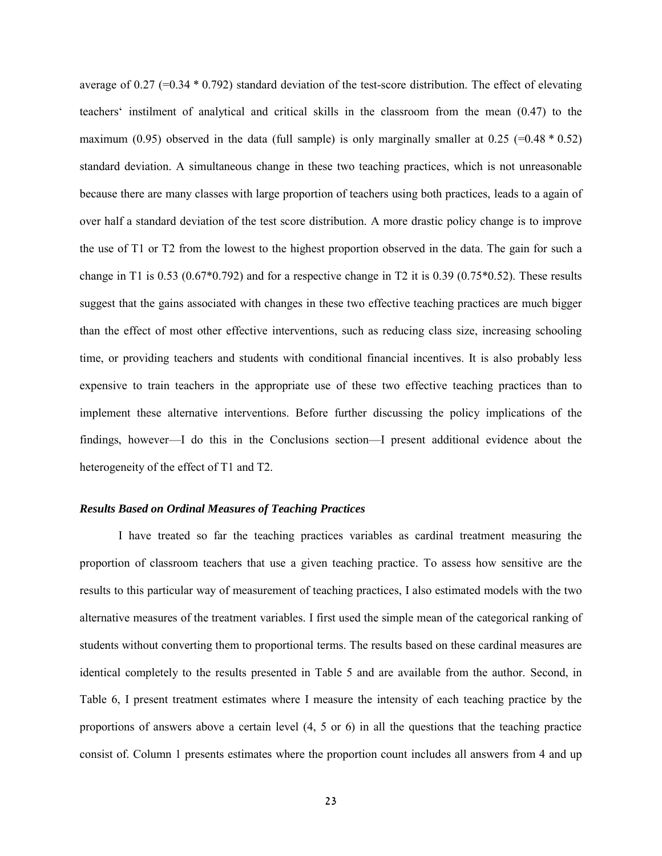average of 0.27 (=0.34  $*$  0.792) standard deviation of the test-score distribution. The effect of elevating teachers' instilment of analytical and critical skills in the classroom from the mean (0.47) to the maximum (0.95) observed in the data (full sample) is only marginally smaller at 0.25 (=0.48  $*$  0.52) standard deviation. A simultaneous change in these two teaching practices, which is not unreasonable because there are many classes with large proportion of teachers using both practices, leads to a again of over half a standard deviation of the test score distribution. A more drastic policy change is to improve the use of T1 or T2 from the lowest to the highest proportion observed in the data. The gain for such a change in T1 is 0.53 (0.67 $*$ 0.792) and for a respective change in T2 it is 0.39 (0.75 $*$ 0.52). These results suggest that the gains associated with changes in these two effective teaching practices are much bigger than the effect of most other effective interventions, such as reducing class size, increasing schooling time, or providing teachers and students with conditional financial incentives. It is also probably less expensive to train teachers in the appropriate use of these two effective teaching practices than to implement these alternative interventions. Before further discussing the policy implications of the findings, however—I do this in the Conclusions section—I present additional evidence about the heterogeneity of the effect of T1 and T2.

#### *Results Based on Ordinal Measures of Teaching Practices*

 I have treated so far the teaching practices variables as cardinal treatment measuring the proportion of classroom teachers that use a given teaching practice. To assess how sensitive are the results to this particular way of measurement of teaching practices, I also estimated models with the two alternative measures of the treatment variables. I first used the simple mean of the categorical ranking of students without converting them to proportional terms. The results based on these cardinal measures are identical completely to the results presented in Table 5 and are available from the author. Second, in Table 6, I present treatment estimates where I measure the intensity of each teaching practice by the proportions of answers above a certain level  $(4, 5 \text{ or } 6)$  in all the questions that the teaching practice consist of. Column 1 presents estimates where the proportion count includes all answers from 4 and up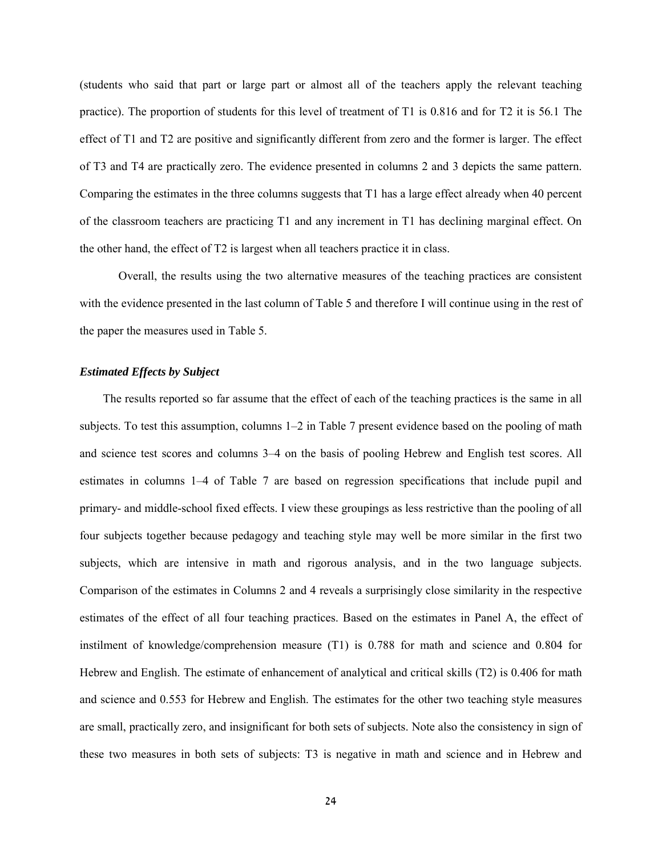(students who said that part or large part or almost all of the teachers apply the relevant teaching practice). The proportion of students for this level of treatment of T1 is 0.816 and for T2 it is 56.1 The effect of T1 and T2 are positive and significantly different from zero and the former is larger. The effect of T3 and T4 are practically zero. The evidence presented in columns 2 and 3 depicts the same pattern. Comparing the estimates in the three columns suggests that T1 has a large effect already when 40 percent of the classroom teachers are practicing T1 and any increment in T1 has declining marginal effect. On the other hand, the effect of T2 is largest when all teachers practice it in class.

Overall, the results using the two alternative measures of the teaching practices are consistent with the evidence presented in the last column of Table 5 and therefore I will continue using in the rest of the paper the measures used in Table 5.

#### *Estimated Effects by Subject*

The results reported so far assume that the effect of each of the teaching practices is the same in all subjects. To test this assumption, columns 1–2 in Table 7 present evidence based on the pooling of math and science test scores and columns 3–4 on the basis of pooling Hebrew and English test scores. All estimates in columns 1–4 of Table 7 are based on regression specifications that include pupil and primary- and middle-school fixed effects. I view these groupings as less restrictive than the pooling of all four subjects together because pedagogy and teaching style may well be more similar in the first two subjects, which are intensive in math and rigorous analysis, and in the two language subjects. Comparison of the estimates in Columns 2 and 4 reveals a surprisingly close similarity in the respective estimates of the effect of all four teaching practices. Based on the estimates in Panel A, the effect of instilment of knowledge/comprehension measure (T1) is 0.788 for math and science and 0.804 for Hebrew and English. The estimate of enhancement of analytical and critical skills (T2) is 0.406 for math and science and 0.553 for Hebrew and English. The estimates for the other two teaching style measures are small, practically zero, and insignificant for both sets of subjects. Note also the consistency in sign of these two measures in both sets of subjects: T3 is negative in math and science and in Hebrew and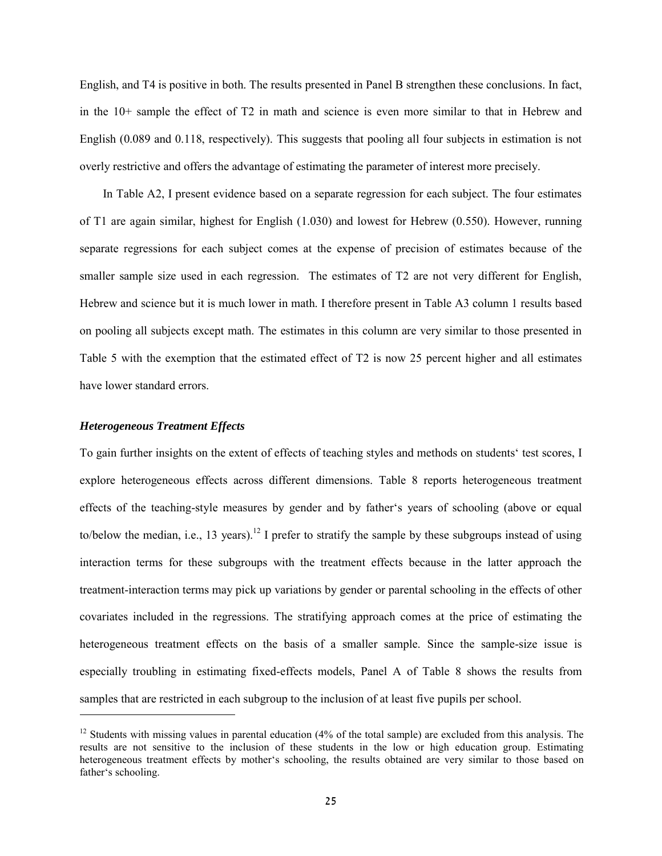English, and T4 is positive in both. The results presented in Panel B strengthen these conclusions. In fact, in the 10+ sample the effect of T2 in math and science is even more similar to that in Hebrew and English (0.089 and 0.118, respectively). This suggests that pooling all four subjects in estimation is not overly restrictive and offers the advantage of estimating the parameter of interest more precisely.

In Table A2, I present evidence based on a separate regression for each subject. The four estimates of T1 are again similar, highest for English (1.030) and lowest for Hebrew (0.550). However, running separate regressions for each subject comes at the expense of precision of estimates because of the smaller sample size used in each regression. The estimates of T2 are not very different for English, Hebrew and science but it is much lower in math. I therefore present in Table A3 column 1 results based on pooling all subjects except math. The estimates in this column are very similar to those presented in Table 5 with the exemption that the estimated effect of T2 is now 25 percent higher and all estimates have lower standard errors.

#### *Heterogeneous Treatment Effects*

 $\overline{a}$ 

To gain further insights on the extent of effects of teaching styles and methods on students' test scores, I explore heterogeneous effects across different dimensions. Table 8 reports heterogeneous treatment effects of the teaching-style measures by gender and by father's years of schooling (above or equal to/below the median, i.e., 13 years).<sup>12</sup> I prefer to stratify the sample by these subgroups instead of using interaction terms for these subgroups with the treatment effects because in the latter approach the treatment-interaction terms may pick up variations by gender or parental schooling in the effects of other covariates included in the regressions. The stratifying approach comes at the price of estimating the heterogeneous treatment effects on the basis of a smaller sample. Since the sample-size issue is especially troubling in estimating fixed-effects models, Panel A of Table 8 shows the results from samples that are restricted in each subgroup to the inclusion of at least five pupils per school.

<sup>&</sup>lt;sup>12</sup> Students with missing values in parental education (4% of the total sample) are excluded from this analysis. The results are not sensitive to the inclusion of these students in the low or high education group. Estimating heterogeneous treatment effects by mother's schooling, the results obtained are very similar to those based on father's schooling.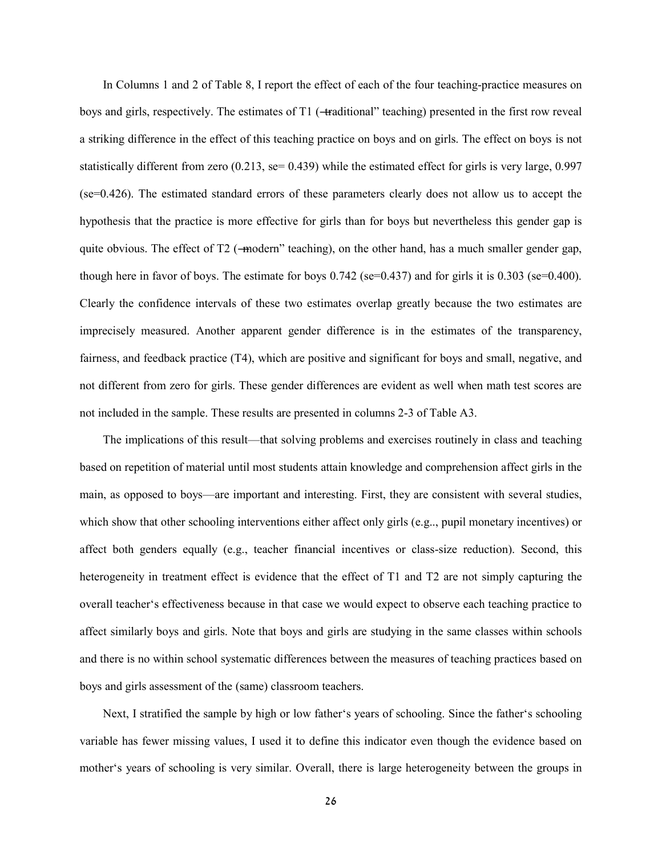In Columns 1 and 2 of Table 8, I report the effect of each of the four teaching-practice measures on boys and girls, respectively. The estimates of T1 (—traditional" teaching) presented in the first row reveal a striking difference in the effect of this teaching practice on boys and on girls. The effect on boys is not statistically different from zero (0.213,  $se= 0.439$ ) while the estimated effect for girls is very large, 0.997 (se=0.426). The estimated standard errors of these parameters clearly does not allow us to accept the hypothesis that the practice is more effective for girls than for boys but nevertheless this gender gap is quite obvious. The effect of  $T2$  (—modern" teaching), on the other hand, has a much smaller gender gap, though here in favor of boys. The estimate for boys  $0.742$  (se=0.437) and for girls it is 0.303 (se=0.400). Clearly the confidence intervals of these two estimates overlap greatly because the two estimates are imprecisely measured. Another apparent gender difference is in the estimates of the transparency, fairness, and feedback practice (T4), which are positive and significant for boys and small, negative, and not different from zero for girls. These gender differences are evident as well when math test scores are not included in the sample. These results are presented in columns 2-3 of Table A3.

The implications of this result—that solving problems and exercises routinely in class and teaching based on repetition of material until most students attain knowledge and comprehension affect girls in the main, as opposed to boys—are important and interesting. First, they are consistent with several studies, which show that other schooling interventions either affect only girls (e.g., pupil monetary incentives) or affect both genders equally (e.g., teacher financial incentives or class-size reduction). Second, this heterogeneity in treatment effect is evidence that the effect of T1 and T2 are not simply capturing the overall teacher's effectiveness because in that case we would expect to observe each teaching practice to affect similarly boys and girls. Note that boys and girls are studying in the same classes within schools and there is no within school systematic differences between the measures of teaching practices based on boys and girls assessment of the (same) classroom teachers.

Next, I stratified the sample by high or low father's years of schooling. Since the father's schooling variable has fewer missing values, I used it to define this indicator even though the evidence based on mother's years of schooling is very similar. Overall, there is large heterogeneity between the groups in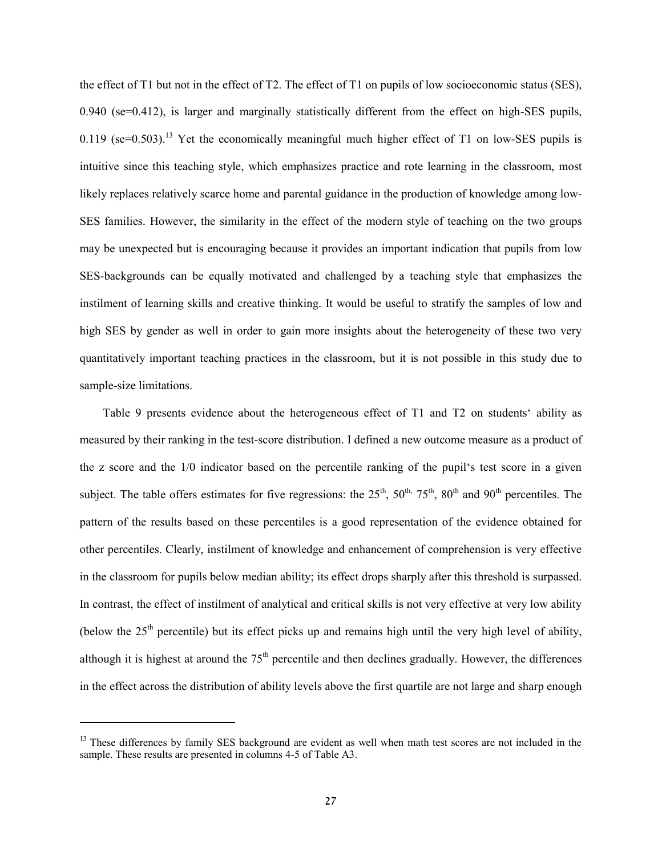the effect of T1 but not in the effect of T2. The effect of T1 on pupils of low socioeconomic status (SES), 0.940 (se=0.412), is larger and marginally statistically different from the effect on high-SES pupils, 0.119 (se=0.503).<sup>13</sup> Yet the economically meaningful much higher effect of T1 on low-SES pupils is intuitive since this teaching style, which emphasizes practice and rote learning in the classroom, most likely replaces relatively scarce home and parental guidance in the production of knowledge among low-SES families. However, the similarity in the effect of the modern style of teaching on the two groups may be unexpected but is encouraging because it provides an important indication that pupils from low SES-backgrounds can be equally motivated and challenged by a teaching style that emphasizes the instilment of learning skills and creative thinking. It would be useful to stratify the samples of low and high SES by gender as well in order to gain more insights about the heterogeneity of these two very quantitatively important teaching practices in the classroom, but it is not possible in this study due to sample-size limitations.

Table 9 presents evidence about the heterogeneous effect of T1 and T2 on students' ability as measured by their ranking in the test-score distribution. I defined a new outcome measure as a product of the z score and the 1/0 indicator based on the percentile ranking of the pupil's test score in a given subject. The table offers estimates for five regressions: the  $25<sup>th</sup>$ ,  $50<sup>th</sup>$ ,  $75<sup>th</sup>$ ,  $80<sup>th</sup>$  and  $90<sup>th</sup>$  percentiles. The pattern of the results based on these percentiles is a good representation of the evidence obtained for other percentiles. Clearly, instilment of knowledge and enhancement of comprehension is very effective in the classroom for pupils below median ability; its effect drops sharply after this threshold is surpassed. In contrast, the effect of instilment of analytical and critical skills is not very effective at very low ability (below the  $25<sup>th</sup>$  percentile) but its effect picks up and remains high until the very high level of ability, although it is highest at around the  $75<sup>th</sup>$  percentile and then declines gradually. However, the differences in the effect across the distribution of ability levels above the first quartile are not large and sharp enough

 $\overline{a}$ 

<sup>&</sup>lt;sup>13</sup> These differences by family SES background are evident as well when math test scores are not included in the sample. These results are presented in columns 4-5 of Table A3.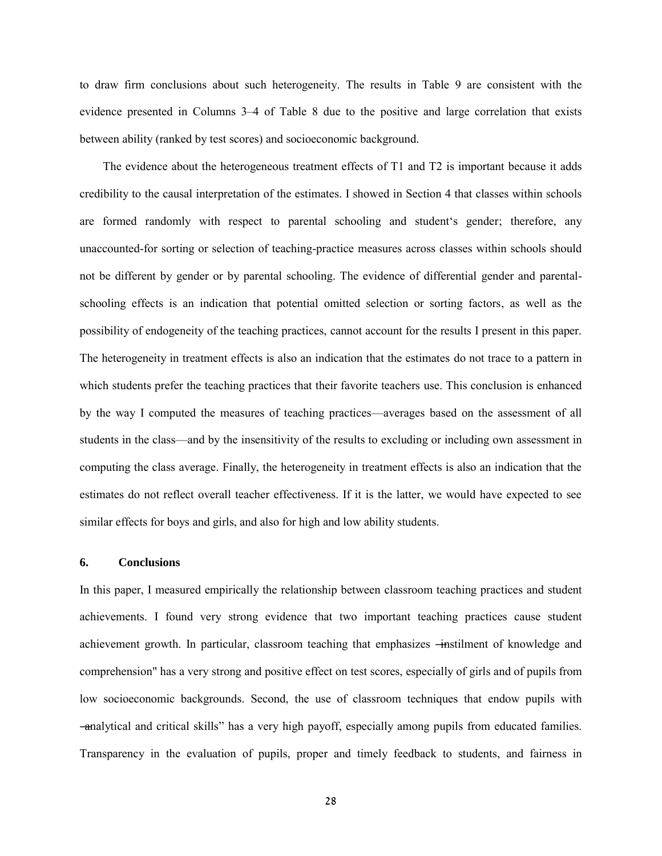to draw firm conclusions about such heterogeneity. The results in Table 9 are consistent with the evidence presented in Columns 3–4 of Table 8 due to the positive and large correlation that exists between ability (ranked by test scores) and socioeconomic background.

The evidence about the heterogeneous treatment effects of T1 and T2 is important because it adds credibility to the causal interpretation of the estimates. I showed in Section 4 that classes within schools are formed randomly with respect to parental schooling and student's gender; therefore, any unaccounted-for sorting or selection of teaching-practice measures across classes within schools should not be different by gender or by parental schooling. The evidence of differential gender and parentalschooling effects is an indication that potential omitted selection or sorting factors, as well as the possibility of endogeneity of the teaching practices, cannot account for the results I present in this paper. The heterogeneity in treatment effects is also an indication that the estimates do not trace to a pattern in which students prefer the teaching practices that their favorite teachers use. This conclusion is enhanced by the way I computed the measures of teaching practices—averages based on the assessment of all students in the class—and by the insensitivity of the results to excluding or including own assessment in computing the class average. Finally, the heterogeneity in treatment effects is also an indication that the estimates do not reflect overall teacher effectiveness. If it is the latter, we would have expected to see similar effects for boys and girls, and also for high and low ability students.

#### **6. Conclusions**

In this paper, I measured empirically the relationship between classroom teaching practices and student achievements. I found very strong evidence that two important teaching practices cause student achievement growth. In particular, classroom teaching that emphasizes —instilment of knowledge and comprehension" has a very strong and positive effect on test scores, especially of girls and of pupils from low socioeconomic backgrounds. Second, the use of classroom techniques that endow pupils with ―analytical and critical skills‖ has a very high payoff, especially among pupils from educated families. Transparency in the evaluation of pupils, proper and timely feedback to students, and fairness in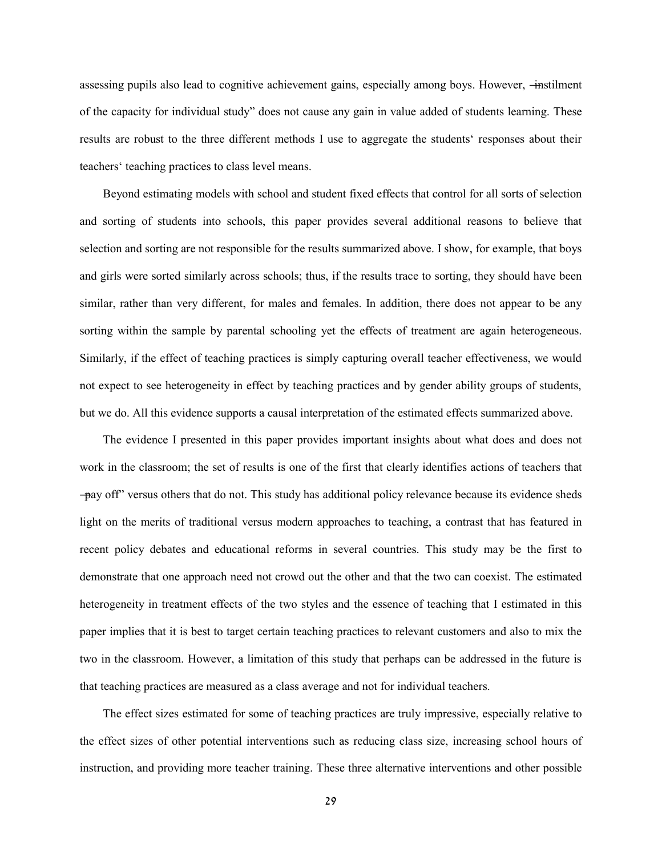assessing pupils also lead to cognitive achievement gains, especially among boys. However, —instilment of the capacity for individual study" does not cause any gain in value added of students learning. These results are robust to the three different methods I use to aggregate the students' responses about their teachers' teaching practices to class level means.

Beyond estimating models with school and student fixed effects that control for all sorts of selection and sorting of students into schools, this paper provides several additional reasons to believe that selection and sorting are not responsible for the results summarized above. I show, for example, that boys and girls were sorted similarly across schools; thus, if the results trace to sorting, they should have been similar, rather than very different, for males and females. In addition, there does not appear to be any sorting within the sample by parental schooling yet the effects of treatment are again heterogeneous. Similarly, if the effect of teaching practices is simply capturing overall teacher effectiveness, we would not expect to see heterogeneity in effect by teaching practices and by gender ability groups of students, but we do. All this evidence supports a causal interpretation of the estimated effects summarized above.

The evidence I presented in this paper provides important insights about what does and does not work in the classroom; the set of results is one of the first that clearly identifies actions of teachers that -pay off" versus others that do not. This study has additional policy relevance because its evidence sheds light on the merits of traditional versus modern approaches to teaching, a contrast that has featured in recent policy debates and educational reforms in several countries. This study may be the first to demonstrate that one approach need not crowd out the other and that the two can coexist. The estimated heterogeneity in treatment effects of the two styles and the essence of teaching that I estimated in this paper implies that it is best to target certain teaching practices to relevant customers and also to mix the two in the classroom. However, a limitation of this study that perhaps can be addressed in the future is that teaching practices are measured as a class average and not for individual teachers.

The effect sizes estimated for some of teaching practices are truly impressive, especially relative to the effect sizes of other potential interventions such as reducing class size, increasing school hours of instruction, and providing more teacher training. These three alternative interventions and other possible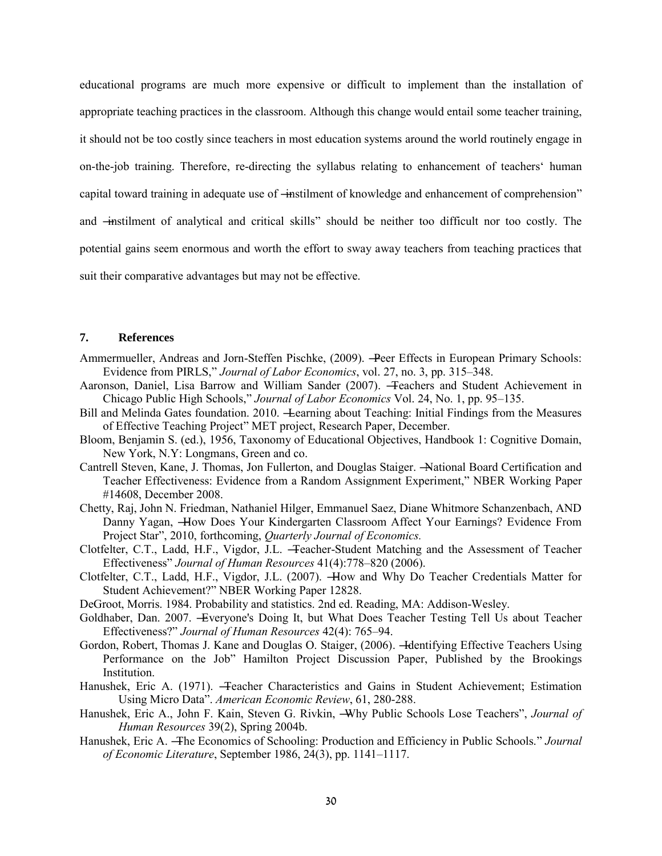educational programs are much more expensive or difficult to implement than the installation of appropriate teaching practices in the classroom. Although this change would entail some teacher training, it should not be too costly since teachers in most education systems around the world routinely engage in on-the-job training. Therefore, re-directing the syllabus relating to enhancement of teachers' human capital toward training in adequate use of —instilment of knowledge and enhancement of comprehension" and  $\overline{\phantom{a}}$  instilment of analytical and critical skills" should be neither too difficult nor too costly. The potential gains seem enormous and worth the effort to sway away teachers from teaching practices that suit their comparative advantages but may not be effective.

#### **7. References**

- Ammermueller, Andreas and Jorn-Steffen Pischke, (2009). <del>-Peer</del> Effects in European Primary Schools: Evidence from PIRLS," *Journal of Labor Economics*, vol. 27, no. 3, pp. 315–348.
- Aaronson, Daniel, Lisa Barrow and William Sander (2007). ―Teachers and Student Achievement in Chicago Public High Schools," Journal of Labor Economics Vol. 24, No. 1, pp. 95-135.
- Bill and Melinda Gates foundation. 2010. —Learning about Teaching: Initial Findings from the Measures of Effective Teaching Project" MET project, Research Paper, December.
- Bloom, Benjamin S. (ed.), 1956, Taxonomy of Educational Objectives, Handbook 1: Cognitive Domain, New York, N.Y: Longmans, Green and co.
- Cantrell Steven, Kane, J. Thomas, Jon Fullerton, and Douglas Staiger. [―National Board Certification and](http://www.dartmouth.edu/~dstaiger/Papers/w14608.pdf)  [Teacher Effectiveness: Evidence from a Random Assignment Experiment](http://www.dartmouth.edu/~dstaiger/Papers/w14608.pdf)," NBER Working Paper [#14608, December 2008.](http://www.dartmouth.edu/~dstaiger/Papers/w14608.pdf)
- Chetty, Raj, John N. Friedman, Nathaniel Hilger, Emmanuel Saez, Diane Whitmore Schanzenbach, AND Danny Yagan, ―How Does Your Kindergarten Classroom Affect Your Earnings? Evidence From Project Star", 2010, forthcoming, *Quarterly Journal of Economics*.
- Clotfelter, C.T., Ladd, H.F., Vigdor, J.L. ―Teacher-Student Matching and the Assessment of Teacher Effectiveness‖ *Journal of Human Resources* 41(4):778–820 (2006).
- Clotfelter, C.T., Ladd, H.F., Vigdor, J.L. (2007). ―How and Why Do Teacher Credentials Matter for Student Achievement?" NBER Working Paper 12828.
- DeGroot, Morris. 1984. Probability and statistics. 2nd ed. Reading, MA: Addison-Wesley.
- Goldhaber, Dan. 2007. ―Everyone's Doing It, but What Does Teacher Testing Tell Us about Teacher Effectiveness?‖ *Journal of Human Resources* 42(4): 765–94.
- Gordon, Robert, Thomas J. Kane and Douglas O. Staiger, (2006). <del>-Identifying Effective Teachers Using</del> Performance on the Job" Hamilton Project Discussion Paper, Published by the Brookings Institution.
- Hanushek, Eric A. (1971). ―Teacher Characteristics and Gains in Student Achievement; Estimation Using Micro Data". American Economic Review, 61, 280-288.
- Hanushek, Eric A., John F. Kain, Steven G. Rivkin, -Why Public Schools Lose Teachers", *Journal of Human Resources* 39(2), Spring 2004b.
- Hanushek, Eric A. —The Economics of Schooling: Production and Efficiency in Public Schools." *Journal of Economic Literature*, September 1986, 24(3), pp. 1141–1117.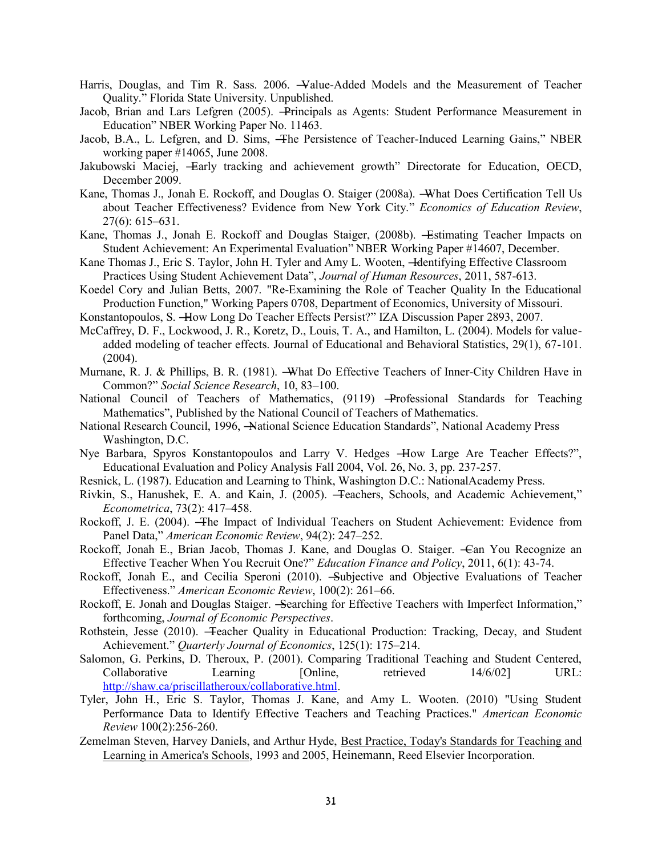- Harris, Douglas, and Tim R. Sass. 2006. ―Value-Added Models and the Measurement of Teacher Quality.‖ Florida State University. Unpublished.
- Jacob, Brian and Lars Lefgren (2005). ―Principals as Agents: Student Performance Measurement in Education" NBER Working Paper No. 11463.
- Jacob, B.A., L. Lefgren, and D. Sims, -The Persistence of Teacher-Induced Learning Gains," NBER working paper #14065, June 2008.
- Jakubowski Maciej, —Early tracking and achievement growth" Directorate for Education, OECD, December 2009.
- Kane, Thomas J., Jonah E. Rockoff, and Douglas O. Staiger (2008a). ―What Does Certification Tell Us about Teacher Effectiveness? Evidence from New York City." *Economics of Education Review*, 27(6): 615–631.
- Kane, Thomas J., Jonah E. Rockoff and Douglas Staiger, (2008b). —Estimating Teacher Impacts on [Student Achievement: An Experimental Evaluation](http://www.dartmouth.edu/~dstaiger/Papers/w14607.pdf)" NBER Working Paper #14607, December.
- Kane Thomas J., Eric S. Taylor, John H. Tyler and Amy L. Wooten, -Hentifying Effective Classroom Practices Using Student Achievement Data", *Journal of Human Resources*, 2011, 587-613.
- Koedel Cory and Julian Betts, 2007. ["Re-Examining the Role of Teacher Quality In the Educational](http://ideas.repec.org/p/umc/wpaper/0708.html)  [Production Function,](http://ideas.repec.org/p/umc/wpaper/0708.html)" [Working Papers](http://ideas.repec.org/s/umc/wpaper.html) 0708, Department of Economics, University of Missouri.
- Konstantopoulos, S. –How Long Do Teacher Effects Persist?" IZA Discussion Paper 2893, 2007.
- McCaffrey, D. F., Lockwood, J. R., Koretz, D., Louis, T. A., and Hamilton, L. (2004). Models for valueadded modeling of teacher effects. Journal of Educational and Behavioral Statistics, 29(1), 67-101. (2004).
- Murnane, R. J. & Phillips, B. R. (1981). —What Do Effective Teachers of Inner-City Children Have in Common?‖ *Social Science Research*, 10, 83–100.
- National Council of Teachers of Mathematics, (9119) -Professional Standards for Teaching [Mathematics](http://www.fayar.net/east/teacher.web/math/Standards/previous/ProfStds/index.htm)", Published by the National Council of Teachers of Mathematics.
- National Research Council, 1996, ―National Science Education Standards‖, National Academy Press Washington, D.C.
- Nye Barbara, Spyros Konstantopoulos and Larry V. Hedges How Large Are Teacher Effects?", Educational Evaluation and Policy Analysis Fall 2004, Vol. 26, No. 3, pp. 237-257.
- Resnick, L. (1987). Education and Learning to Think, Washington D.C.: NationalAcademy Press.
- Rivkin, S., Hanushek, E. A. and Kain, J. (2005). –Feachers, Schools, and Academic Achievement," *Econometrica*, 73(2): 417–458.
- Rockoff, J. E. (2004). ―The Impact of Individual Teachers on Student Achievement: Evidence from Panel Data," *American Economic Review*, 94(2): 247–252.
- Rockoff, Jonah E., Brian Jacob, Thomas J. Kane, and Douglas O. Staiger. Can You Recognize an Effective Teacher When You Recruit One?" *Education Finance and Policy*, 2011, 6(1): 43-74.
- Rockoff, Jonah E., and Cecilia Speroni (2010). ―Subjective and Objective Evaluations of Teacher Effectiveness.‖ *American Economic Review*, 100(2): 261–66.
- Rockoff, E. Jonah and Douglas Staiger. -Searching for Effective Teachers with Imperfect Information," forthcoming, *Journal of Economic Perspectives*.
- Rothstein, Jesse (2010). ―Teacher Quality in Educational Production: Tracking, Decay, and Student Achievement.‖ *Quarterly Journal of Economics*, 125(1): 175–214.
- Salomon, G. Perkins, D. Theroux, P. (2001). Comparing Traditional Teaching and Student Centered, Collaborative Learning [Online, retrieved 14/6/02] URL: [http://shaw.ca/priscillatheroux/collaborative.html.](http://shaw.ca/priscillatheroux/collaborative.html)
- Tyler, John H., Eric S. Taylor, Thomas J. Kane, and Amy L. Wooten. (2010) "Using Student Performance Data to Identify Effective Teachers and Teaching Practices." *American Economic Review* 100(2):256-260.
- [Zemelman](http://www.amazon.com/Steven-Zemelman/e/B001IGQDRE/ref=ntt_athr_dp_pel_1) Steven, [Harvey Daniels,](http://www.amazon.com/Harvey-Daniels/e/B001IGLT3M/ref=ntt_athr_dp_pel_2) and Arthur Hyde, Best Practice, Today's Standards for Teaching and Learning in America's Schools, 1993 and 2005, Heinemann, Reed Elsevier Incorporation.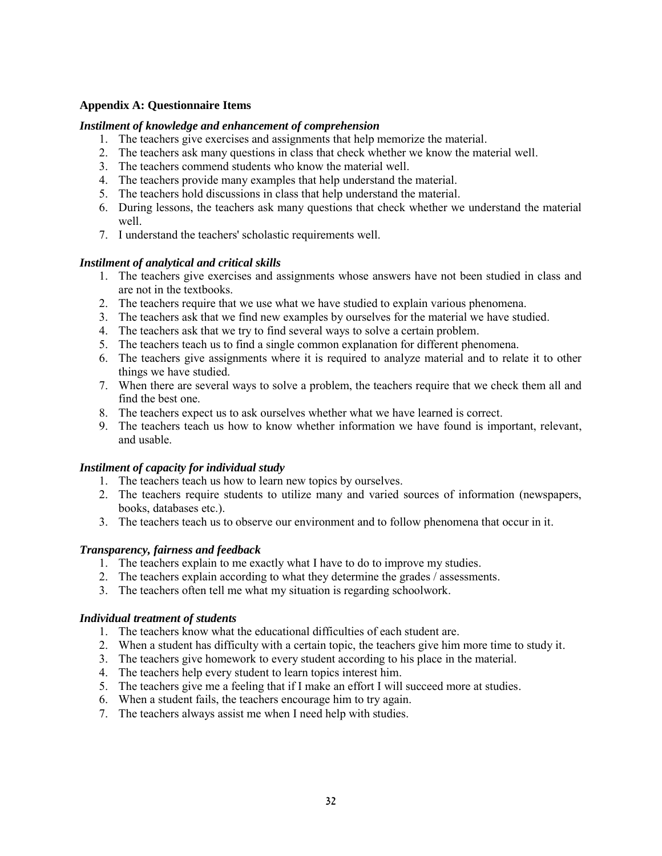#### **Appendix A: Questionnaire Items**

#### *Instilment of knowledge and enhancement of comprehension*

- 1. The teachers give exercises and assignments that help memorize the material.
- 2. The teachers ask many questions in class that check whether we know the material well.
- 3. The teachers commend students who know the material well.
- 4. The teachers provide many examples that help understand the material.
- 5. The teachers hold discussions in class that help understand the material.
- 6. During lessons, the teachers ask many questions that check whether we understand the material well.
- 7. I understand the teachers' scholastic requirements well.

#### *Instilment of analytical and critical skills*

- 1. The teachers give exercises and assignments whose answers have not been studied in class and are not in the textbooks.
- 2. The teachers require that we use what we have studied to explain various phenomena.
- 3. The teachers ask that we find new examples by ourselves for the material we have studied.
- 4. The teachers ask that we try to find several ways to solve a certain problem.
- 5. The teachers teach us to find a single common explanation for different phenomena.
- 6. The teachers give assignments where it is required to analyze material and to relate it to other things we have studied.
- 7. When there are several ways to solve a problem, the teachers require that we check them all and find the best one.
- 8. The teachers expect us to ask ourselves whether what we have learned is correct.
- 9. The teachers teach us how to know whether information we have found is important, relevant, and usable.

#### *Instilment of capacity for individual study*

- 1. The teachers teach us how to learn new topics by ourselves.
- 2. The teachers require students to utilize many and varied sources of information (newspapers, books, databases etc.).
- 3. The teachers teach us to observe our environment and to follow phenomena that occur in it.

#### *Transparency, fairness and feedback*

- 1. The teachers explain to me exactly what I have to do to improve my studies.
- 2. The teachers explain according to what they determine the grades / assessments.
- 3. The teachers often tell me what my situation is regarding schoolwork.

#### *Individual treatment of students*

- 1. The teachers know what the educational difficulties of each student are.
- 2. When a student has difficulty with a certain topic, the teachers give him more time to study it.
- 3. The teachers give homework to every student according to his place in the material.
- 4. The teachers help every student to learn topics interest him.
- 5. The teachers give me a feeling that if I make an effort I will succeed more at studies.
- 6. When a student fails, the teachers encourage him to try again.
- 7. The teachers always assist me when I need help with studies.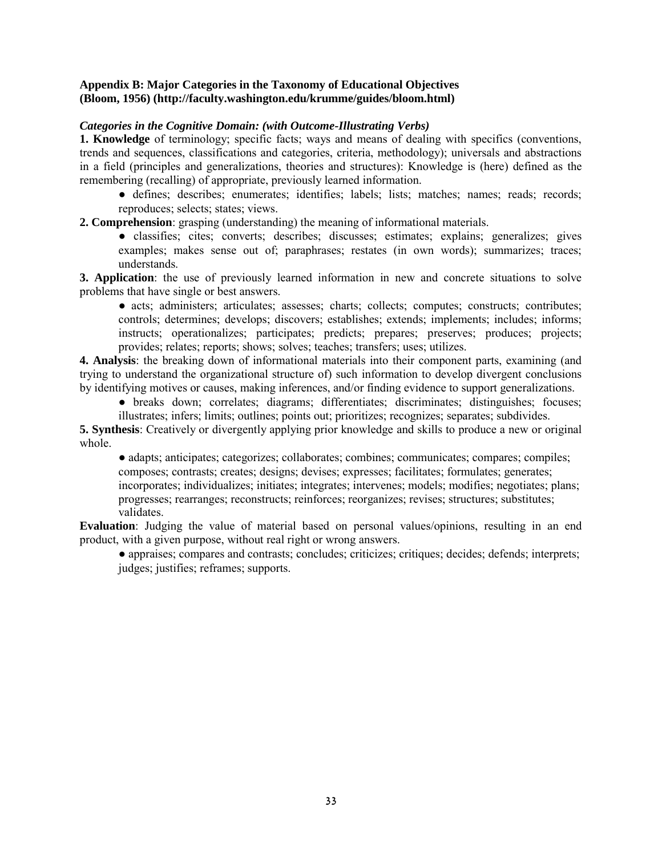#### **Appendix B: Major Categories in the Taxonomy of Educational Objectives (Bloom, 1956) (http://faculty.washington.edu/krumme/guides/bloom.html)**

#### *Categories in the Cognitive Domain: (with Outcome-Illustrating Verbs)*

**1. Knowledge** of terminology; specific facts; ways and means of dealing with specifics (conventions, trends and sequences, classifications and categories, criteria, methodology); universals and abstractions in a field (principles and generalizations, theories and structures): Knowledge is (here) defined as the remembering (recalling) of appropriate, previously learned information.

● defines; describes; enumerates; identifies; labels; lists; matches; names; reads; records; reproduces; selects; states; views.

# **2. Comprehension**: grasping (understanding) the meaning of informational materials.

● classifies; cites; converts; describes; discusses; estimates; explains; generalizes; gives examples; makes sense out of; paraphrases; restates (in own words); summarizes; traces; understands.

**3. Application**: the use of previously learned information in new and concrete situations to solve problems that have single or best answers.

● acts; administers; articulates; assesses; charts; collects; computes; constructs; contributes; controls; determines; develops; discovers; establishes; extends; implements; includes; informs; instructs; operationalizes; participates; predicts; prepares; preserves; produces; projects; provides; relates; reports; shows; solves; teaches; transfers; uses; utilizes.

**4. Analysis**: the breaking down of informational materials into their component parts, examining (and trying to understand the organizational structure of) such information to develop divergent conclusions by identifying motives or causes, making inferences, and/or finding evidence to support generalizations.

● breaks down; correlates; diagrams; differentiates; discriminates; distinguishes; focuses; illustrates; infers; limits; outlines; points out; prioritizes; recognizes; separates; subdivides.

**5. Synthesis**: Creatively or divergently applying prior knowledge and skills to produce a new or original whole.

● adapts; anticipates; categorizes; collaborates; combines; communicates; compares; compiles; composes; contrasts; creates; designs; devises; expresses; facilitates; formulates; generates; incorporates; individualizes; initiates; integrates; intervenes; models; modifies; negotiates; plans; progresses; rearranges; reconstructs; reinforces; reorganizes; revises; structures; substitutes; validates.

**Evaluation**: Judging the value of material based on personal values/opinions, resulting in an end product, with a given purpose, without real right or wrong answers.

● appraises; compares and contrasts; concludes; criticizes; critiques; decides; defends; interprets; judges; justifies; reframes; supports.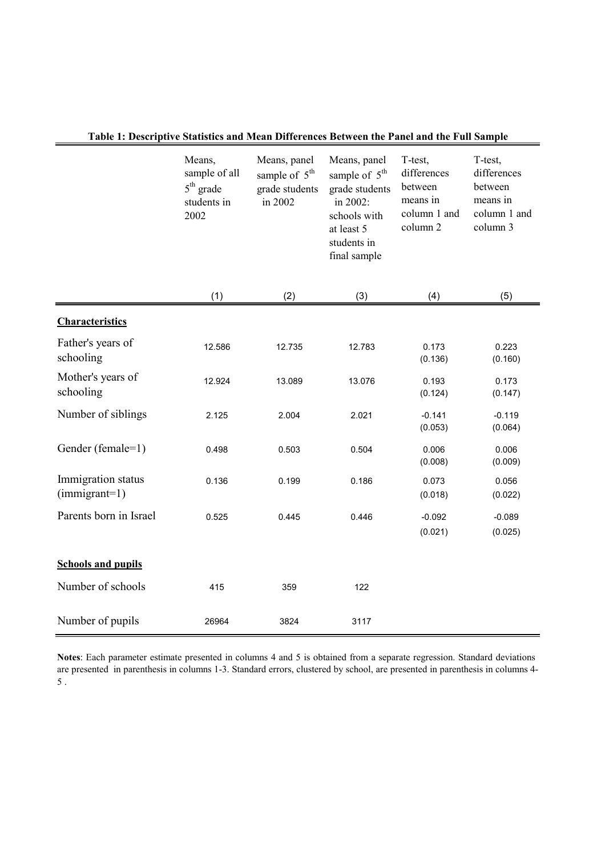| Table 1: Descriptive Statistics and Mean Differences Between the Panel and the Full Sample |  |  |
|--------------------------------------------------------------------------------------------|--|--|
|--------------------------------------------------------------------------------------------|--|--|

|                                       | Means,<br>sample of all<br>$5th$ grade<br>students in<br>2002 | Means, panel<br>sample of $5th$<br>grade students<br>in 2002 | Means, panel<br>sample of $5th$<br>grade students<br>in 2002:<br>schools with<br>at least 5<br>students in<br>final sample | T-test,<br>differences<br>between<br>means in<br>column 1 and<br>column 2 | T-test,<br>differences<br>between<br>means in<br>column 1 and<br>column 3 |
|---------------------------------------|---------------------------------------------------------------|--------------------------------------------------------------|----------------------------------------------------------------------------------------------------------------------------|---------------------------------------------------------------------------|---------------------------------------------------------------------------|
|                                       | (1)                                                           | (2)                                                          | (3)                                                                                                                        | (4)                                                                       | (5)                                                                       |
| <b>Characteristics</b>                |                                                               |                                                              |                                                                                                                            |                                                                           |                                                                           |
| Father's years of<br>schooling        | 12.586                                                        | 12.735                                                       | 12.783                                                                                                                     | 0.173<br>(0.136)                                                          | 0.223<br>(0.160)                                                          |
| Mother's years of<br>schooling        | 12.924                                                        | 13.089                                                       | 13.076                                                                                                                     | 0.193<br>(0.124)                                                          | 0.173<br>(0.147)                                                          |
| Number of siblings                    | 2.125                                                         | 2.004                                                        | 2.021                                                                                                                      | $-0.141$<br>(0.053)                                                       | $-0.119$<br>(0.064)                                                       |
| Gender (female=1)                     | 0.498                                                         | 0.503                                                        | 0.504                                                                                                                      | 0.006<br>(0.008)                                                          | 0.006<br>(0.009)                                                          |
| Immigration status<br>$(immigrant=1)$ | 0.136                                                         | 0.199                                                        | 0.186                                                                                                                      | 0.073<br>(0.018)                                                          | 0.056<br>(0.022)                                                          |
| Parents born in Israel                | 0.525                                                         | 0.445                                                        | 0.446                                                                                                                      | $-0.092$<br>(0.021)                                                       | $-0.089$<br>(0.025)                                                       |
| <b>Schools and pupils</b>             |                                                               |                                                              |                                                                                                                            |                                                                           |                                                                           |
| Number of schools                     | 415                                                           | 359                                                          | 122                                                                                                                        |                                                                           |                                                                           |
| Number of pupils                      | 26964                                                         | 3824                                                         | 3117                                                                                                                       |                                                                           |                                                                           |

**Notes**: Each parameter estimate presented in columns 4 and 5 is obtained from a separate regression. Standard deviations are presented in parenthesis in columns 1-3. Standard errors, clustered by school, are presented in parenthesis in columns 4- 5 .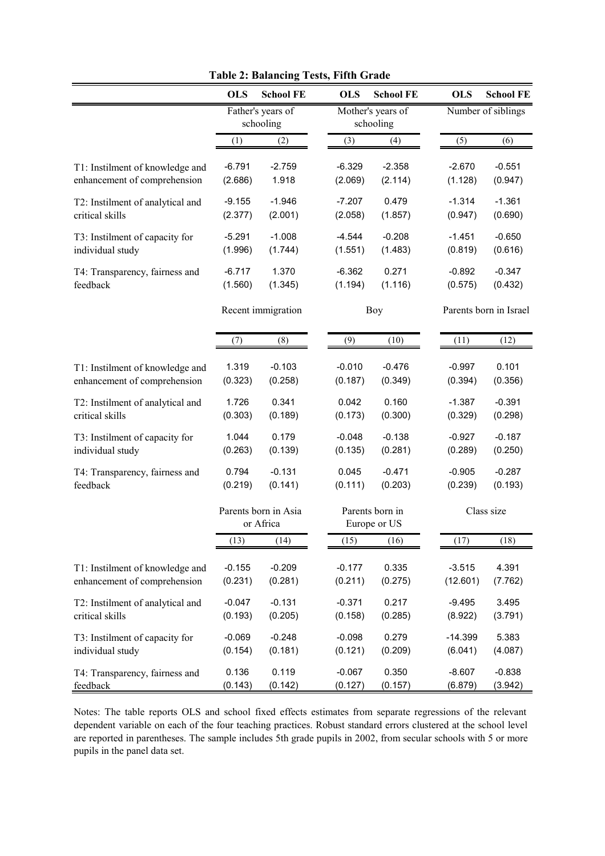|                                                                 | <b>OLS</b>                        | <b>School FE</b>               |     | <b>OLS</b>                     | <b>School FE</b>                | <b>OLS</b>             | <b>School FE</b>    |
|-----------------------------------------------------------------|-----------------------------------|--------------------------------|-----|--------------------------------|---------------------------------|------------------------|---------------------|
|                                                                 |                                   | Father's years of<br>schooling |     | Mother's years of<br>schooling |                                 |                        | Number of siblings  |
|                                                                 | (1)                               | (2)                            |     | (3)                            | (4)                             | (5)                    | (6)                 |
| T1: Instilment of knowledge and<br>enhancement of comprehension | $-6.791$<br>(2.686)               | $-2.759$<br>1.918              |     | $-6.329$<br>(2.069)            | $-2.358$<br>(2.114)             | $-2.670$<br>(1.128)    | $-0.551$<br>(0.947) |
| T2: Instilment of analytical and<br>critical skills             | $-9.155$<br>(2.377)               | $-1.946$<br>(2.001)            |     | $-7.207$<br>(2.058)            | 0.479<br>(1.857)                | $-1.314$<br>(0.947)    | $-1.361$<br>(0.690) |
| T3: Instilment of capacity for<br>individual study              | $-5.291$<br>(1.996)               | $-1.008$<br>(1.744)            |     | $-4.544$<br>(1.551)            | $-0.208$<br>(1.483)             | $-1.451$<br>(0.819)    | $-0.650$<br>(0.616) |
| T4: Transparency, fairness and<br>feedback                      | $-6.717$<br>(1.560)               | 1.370<br>(1.345)               |     | $-6.362$<br>(1.194)            | 0.271<br>(1.116)                | $-0.892$<br>(0.575)    | $-0.347$<br>(0.432) |
|                                                                 | Recent immigration                |                                | Boy |                                |                                 | Parents born in Israel |                     |
|                                                                 | (7)                               | (8)                            |     | (9)                            | (10)                            | (11)                   | (12)                |
| T1: Instilment of knowledge and<br>enhancement of comprehension | 1.319<br>(0.323)                  | $-0.103$<br>(0.258)            |     | $-0.010$<br>(0.187)            | $-0.476$<br>(0.349)             | $-0.997$<br>(0.394)    | 0.101<br>(0.356)    |
| T2: Instilment of analytical and<br>critical skills             | 1.726<br>(0.303)                  | 0.341<br>(0.189)               |     | 0.042<br>(0.173)               | 0.160<br>(0.300)                | $-1.387$<br>(0.329)    | $-0.391$<br>(0.298) |
| T3: Instilment of capacity for<br>individual study              | 1.044<br>(0.263)                  | 0.179<br>(0.139)               |     | $-0.048$<br>(0.135)            | $-0.138$<br>(0.281)             | $-0.927$<br>(0.289)    | $-0.187$<br>(0.250) |
| T4: Transparency, fairness and<br>feedback                      | 0.794<br>(0.219)                  | $-0.131$<br>(0.141)            |     | 0.045<br>(0.111)               | $-0.471$<br>(0.203)             | $-0.905$<br>(0.239)    | $-0.287$<br>(0.193) |
|                                                                 | Parents born in Asia<br>or Africa |                                |     |                                | Parents born in<br>Europe or US |                        | Class size          |
|                                                                 | (13)                              | (14)                           |     | (15)                           | (16)                            | (17)                   | (18)                |
| T1: Instilment of knowledge and<br>enhancement of comprehension | $-0.155$<br>(0.231)               | $-0.209$<br>(0.281)            |     | $-0.177$<br>(0.211)            | 0.335<br>(0.275)                | $-3.515$<br>(12.601)   | 4.391<br>(7.762)    |
| T2: Instilment of analytical and<br>critical skills             | $-0.047$<br>(0.193)               | $-0.131$<br>(0.205)            |     | $-0.371$<br>(0.158)            | 0.217<br>(0.285)                | $-9.495$<br>(8.922)    | 3.495<br>(3.791)    |
| T3: Instilment of capacity for<br>individual study              | $-0.069$<br>(0.154)               | $-0.248$<br>(0.181)            |     | $-0.098$<br>(0.121)            | 0.279<br>(0.209)                | $-14.399$<br>(6.041)   | 5.383<br>(4.087)    |
| T4: Transparency, fairness and<br>feedback                      | 0.136<br>(0.143)                  | 0.119<br>(0.142)               |     | $-0.067$<br>(0.127)            | 0.350<br>(0.157)                | $-8.607$<br>(6.879)    | $-0.838$<br>(3.942) |

**Table 2: Balancing Tests, Fifth Grade** 

Notes: The table reports OLS and school fixed effects estimates from separate regressions of the relevant dependent variable on each of the four teaching practices. Robust standard errors clustered at the school level are reported in parentheses. The sample includes 5th grade pupils in 2002, from secular schools with 5 or more pupils in the panel data set.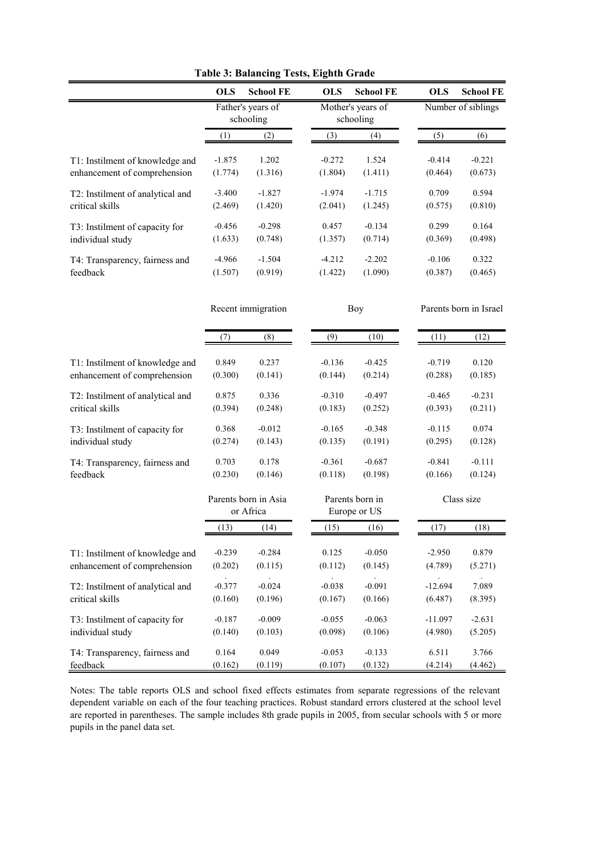|                                  | <b>OLS</b> | <b>School FE</b>                  |  | <b>OLS</b>                      | <b>School FE</b> | <b>OLS</b> | <b>School FE</b>       |
|----------------------------------|------------|-----------------------------------|--|---------------------------------|------------------|------------|------------------------|
|                                  |            | Father's years of<br>schooling    |  | Mother's years of<br>schooling  |                  |            | Number of siblings     |
|                                  | (1)        | (2)                               |  | (3)                             | (4)              | (5)        | (6)                    |
| T1: Instilment of knowledge and  | $-1.875$   | 1.202                             |  | $-0.272$                        | 1.524            | $-0.414$   | $-0.221$               |
| enhancement of comprehension     | (1.774)    | (1.316)                           |  | (1.804)                         | (1.411)          | (0.464)    | (0.673)                |
| T2: Instilment of analytical and | $-3.400$   | $-1.827$                          |  | $-1.974$                        | $-1.715$         | 0.709      | 0.594                  |
| critical skills                  | (2.469)    | (1.420)                           |  | (2.041)                         | (1.245)          | (0.575)    | (0.810)                |
| T3: Instilment of capacity for   | $-0.456$   | $-0.298$                          |  | 0.457                           | $-0.134$         | 0.299      | 0.164                  |
| individual study                 | (1.633)    | (0.748)                           |  | (1.357)                         | (0.714)          | (0.369)    | (0.498)                |
| T4: Transparency, fairness and   | $-4.966$   | $-1.504$                          |  | $-4.212$                        | $-2.202$         | $-0.106$   | 0.322                  |
| feedback                         | (1.507)    | (0.919)                           |  | (1.422)                         | (1.090)          | (0.387)    | (0.465)                |
|                                  |            | Recent immigration                |  |                                 | <b>Boy</b>       |            | Parents born in Israel |
|                                  | (7)        | (8)                               |  | (9)                             | (10)             | (11)       | (12)                   |
| T1: Instilment of knowledge and  | 0.849      | 0.237                             |  | $-0.136$                        | $-0.425$         | $-0.719$   | 0.120                  |
| enhancement of comprehension     | (0.300)    | (0.141)                           |  | (0.144)                         | (0.214)          | (0.288)    | (0.185)                |
| T2: Instilment of analytical and | 0.875      | 0.336                             |  | $-0.310$                        | $-0.497$         | $-0.465$   | $-0.231$               |
| critical skills                  | (0.394)    | (0.248)                           |  | (0.183)                         | (0.252)          | (0.393)    | (0.211)                |
| T3: Instilment of capacity for   | 0.368      | $-0.012$                          |  | $-0.165$                        | $-0.348$         | $-0.115$   | 0.074                  |
| individual study                 | (0.274)    | (0.143)                           |  | (0.135)                         | (0.191)          | (0.295)    | (0.128)                |
| T4: Transparency, fairness and   | 0.703      | 0.178                             |  | $-0.361$                        | $-0.687$         | $-0.841$   | $-0.111$               |
| feedback                         | (0.230)    | (0.146)                           |  | (0.118)                         | (0.198)          | (0.166)    | (0.124)                |
|                                  |            | Parents born in Asia<br>or Africa |  | Parents born in<br>Europe or US |                  | Class size |                        |
|                                  | (13)       | (14)                              |  | (15)                            | (16)             | (17)       | (18)                   |
| T1: Instilment of knowledge and  | $-0.239$   | $-0.284$                          |  | 0.125                           | $-0.050$         | $-2.950$   | 0.879                  |
| enhancement of comprehension     | (0.202)    | (0.115)                           |  | (0.112)                         | (0.145)          | (4.789)    | (5.271)                |
| T2: Instilment of analytical and | $-0.377$   | $-0.024$                          |  | $-0.038$                        | $-0.091$         | $-12.694$  | 7.089                  |
| critical skills                  | (0.160)    | (0.196)                           |  | (0.167)                         | (0.166)          | (6.487)    | (8.395)                |
| T3: Instilment of capacity for   | $-0.187$   | $-0.009$                          |  | $-0.055$                        | $-0.063$         | $-11.097$  | $-2.631$               |
| individual study                 | (0.140)    | (0.103)                           |  | (0.098)                         | (0.106)          | (4.980)    | (5.205)                |
| T4: Transparency, fairness and   | 0.164      | 0.049                             |  | $-0.053$                        | $-0.133$         | 6.511      | 3.766                  |
| feedback                         | (0.162)    | (0.119)                           |  | (0.107)                         | (0.132)          | (4.214)    | (4.462)                |

**Table 3: Balancing Tests, Eighth Grade** 

Notes: The table reports OLS and school fixed effects estimates from separate regressions of the relevant dependent variable on each of the four teaching practices. Robust standard errors clustered at the school level are reported in parentheses. The sample includes 8th grade pupils in 2005, from secular schools with 5 or more pupils in the panel data set.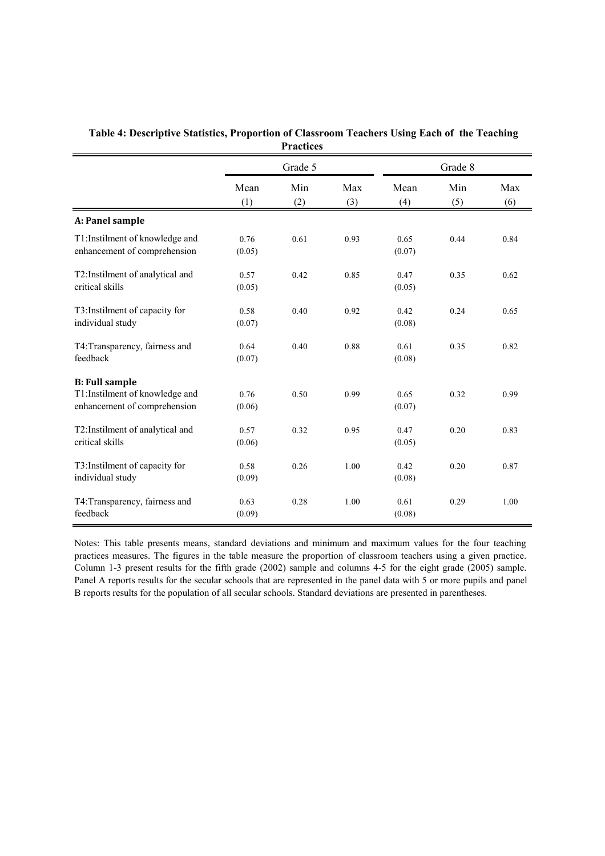|                                  | Grade 5 |      |      | Grade 8 |      |      |
|----------------------------------|---------|------|------|---------|------|------|
|                                  | Mean    | Min  | Max  | Mean    | Min  | Max  |
|                                  | (1)     | (2)  | (3)  | (4)     | (5)  | (6)  |
| A: Panel sample                  |         |      |      |         |      |      |
| T1: Instilment of knowledge and  | 0.76    | 0.61 | 0.93 | 0.65    | 0.44 | 0.84 |
| enhancement of comprehension     | (0.05)  |      |      | (0.07)  |      |      |
| T2: Instilment of analytical and | 0.57    | 0.42 | 0.85 | 0.47    | 0.35 | 0.62 |
| critical skills                  | (0.05)  |      |      | (0.05)  |      |      |
| T3: Instilment of capacity for   | 0.58    | 0.40 | 0.92 | 0.42    | 0.24 | 0.65 |
| individual study                 | (0.07)  |      |      | (0.08)  |      |      |
| T4: Transparency, fairness and   | 0.64    | 0.40 | 0.88 | 0.61    | 0.35 | 0.82 |
| feedback                         | (0.07)  |      |      | (0.08)  |      |      |
| <b>B: Full sample</b>            |         |      |      |         |      |      |
| T1:Instilment of knowledge and   | 0.76    | 0.50 | 0.99 | 0.65    | 0.32 | 0.99 |
| enhancement of comprehension     | (0.06)  |      |      | (0.07)  |      |      |
| T2: Instilment of analytical and | 0.57    | 0.32 | 0.95 | 0.47    | 0.20 | 0.83 |
| critical skills                  | (0.06)  |      |      | (0.05)  |      |      |
| T3: Instilment of capacity for   | 0.58    | 0.26 | 1.00 | 0.42    | 0.20 | 0.87 |
| individual study                 | (0.09)  |      |      | (0.08)  |      |      |
| T4: Transparency, fairness and   | 0.63    | 0.28 | 1.00 | 0.61    | 0.29 | 1.00 |
| feedback                         | (0.09)  |      |      | (0.08)  |      |      |

 **Table 4: Descriptive Statistics, Proportion of Classroom Teachers Using Each of the Teaching Practices**

Notes: This table presents means, standard deviations and minimum and maximum values for the four teaching practices measures. The figures in the table measure the proportion of classroom teachers using a given practice. Column 1-3 present results for the fifth grade (2002) sample and columns 4-5 for the eight grade (2005) sample. Panel A reports results for the secular schools that are represented in the panel data with 5 or more pupils and panel B reports results for the population of all secular schools. Standard deviations are presented in parentheses.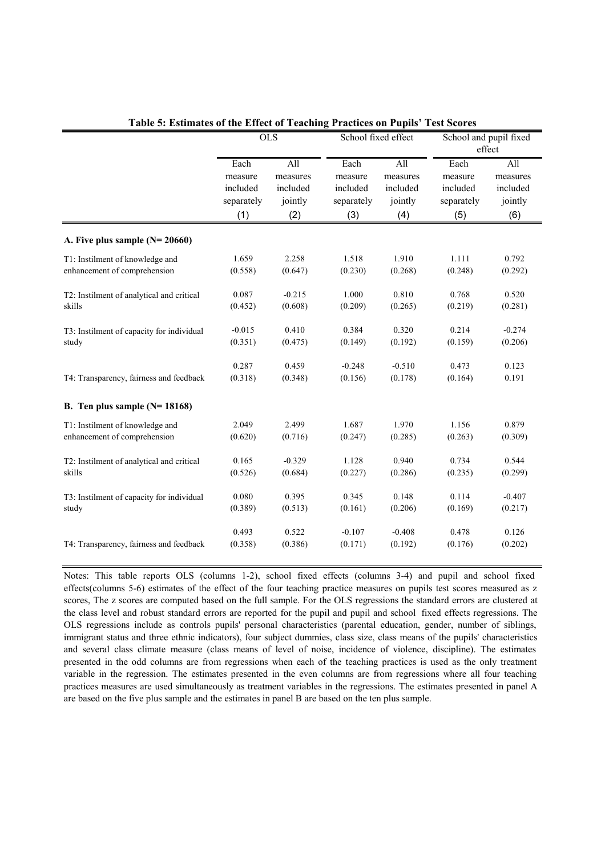|                                           | $\overline{OLS}$ |          | School fixed effect |          | School and pupil fixed |          |
|-------------------------------------------|------------------|----------|---------------------|----------|------------------------|----------|
|                                           |                  |          |                     |          |                        | effect   |
|                                           | Each             | All      | Each                | All      | Each                   | All      |
|                                           | measure          | measures | measure             | measures | measure                | measures |
|                                           | included         | included | included            | included | included               | included |
|                                           | separately       | jointly  | separately          | jointly  | separately             | jointly  |
|                                           | (1)              | (2)      | (3)                 | (4)      | (5)                    | (6)      |
| A. Five plus sample $(N=20660)$           |                  |          |                     |          |                        |          |
| T1: Instilment of knowledge and           | 1.659            | 2.258    | 1.518               | 1.910    | 1.111                  | 0.792    |
| enhancement of comprehension              | (0.558)          | (0.647)  | (0.230)             | (0.268)  | (0.248)                | (0.292)  |
|                                           |                  |          |                     |          |                        |          |
| T2: Instilment of analytical and critical | 0.087            | $-0.215$ | 1.000               | 0.810    | 0.768                  | 0.520    |
| skills                                    | (0.452)          | (0.608)  | (0.209)             | (0.265)  | (0.219)                | (0.281)  |
|                                           |                  |          |                     |          |                        |          |
| T3: Instilment of capacity for individual | $-0.015$         | 0.410    | 0.384               | 0.320    | 0.214                  | $-0.274$ |
| study                                     | (0.351)          | (0.475)  | (0.149)             | (0.192)  | (0.159)                | (0.206)  |
|                                           | 0.287            | 0.459    | $-0.248$            | $-0.510$ | 0.473                  | 0.123    |
| T4: Transparency, fairness and feedback   | (0.318)          | (0.348)  | (0.156)             | (0.178)  | (0.164)                | 0.191    |
|                                           |                  |          |                     |          |                        |          |
| B. Ten plus sample $(N=18168)$            |                  |          |                     |          |                        |          |
| T1: Instilment of knowledge and           | 2.049            | 2.499    | 1.687               | 1.970    | 1.156                  | 0.879    |
| enhancement of comprehension              | (0.620)          | (0.716)  | (0.247)             | (0.285)  | (0.263)                | (0.309)  |
|                                           |                  |          |                     |          |                        |          |
| T2: Instilment of analytical and critical | 0.165            | $-0.329$ | 1.128               | 0.940    | 0.734                  | 0.544    |
| skills                                    | (0.526)          | (0.684)  | (0.227)             | (0.286)  | (0.235)                | (0.299)  |
| T3: Instilment of capacity for individual | 0.080            | 0.395    | 0.345               | 0.148    | 0.114                  | $-0.407$ |
| study                                     | (0.389)          | (0.513)  | (0.161)             | (0.206)  | (0.169)                | (0.217)  |
|                                           |                  |          |                     |          |                        |          |
|                                           | 0.493            | 0.522    | $-0.107$            | $-0.408$ | 0.478                  | 0.126    |
| T4: Transparency, fairness and feedback   | (0.358)          | (0.386)  | (0.171)             | (0.192)  | (0.176)                | (0.202)  |
|                                           |                  |          |                     |          |                        |          |

#### **Table 5: Estimates of the Effect of Teaching Practices on Pupils' Test Scores**

Notes: This table reports OLS (columns 1-2), school fixed effects (columns 3-4) and pupil and school fixed effects(columns 5-6) estimates of the effect of the four teaching practice measures on pupils test scores measured as z scores, The z scores are computed based on the full sample. For the OLS regressions the standard errors are clustered at the class level and robust standard errors are reported for the pupil and pupil and school fixed effects regressions. The OLS regressions include as controls pupils' personal characteristics (parental education, gender, number of siblings, immigrant status and three ethnic indicators), four subject dummies, class size, class means of the pupils' characteristics and several class climate measure (class means of level of noise, incidence of violence, discipline). The estimates presented in the odd columns are from regressions when each of the teaching practices is used as the only treatment variable in the regression. The estimates presented in the even columns are from regressions where all four teaching practices measures are used simultaneously as treatment variables in the regressions. The estimates presented in panel A are based on the five plus sample and the estimates in panel B are based on the ten plus sample.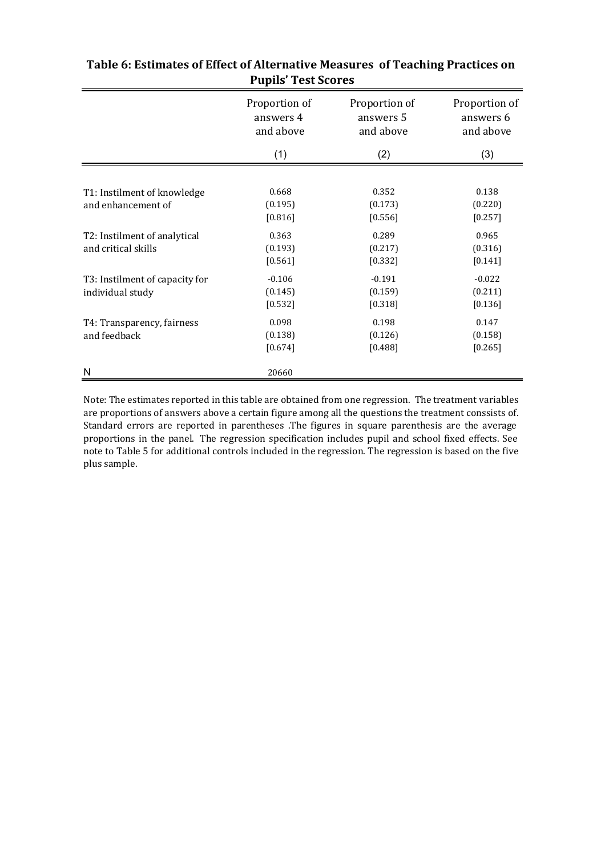|                                | Proportion of<br>answers 4<br>and above | Proportion of<br>answers 5<br>and above | Proportion of<br>answers 6<br>and above |
|--------------------------------|-----------------------------------------|-----------------------------------------|-----------------------------------------|
|                                | (1)                                     | (2)                                     | (3)                                     |
|                                |                                         |                                         |                                         |
| T1: Instilment of knowledge    | 0.668                                   | 0.352                                   | 0.138                                   |
| and enhancement of             | (0.195)                                 | (0.173)                                 | (0.220)                                 |
|                                | [0.816]                                 | [0.556]                                 | [0.257]                                 |
| T2: Instilment of analytical   | 0.363                                   | 0.289                                   | 0.965                                   |
| and critical skills            | (0.193)                                 | (0.217)                                 | (0.316)                                 |
|                                | [0.561]                                 | [0.332]                                 | [0.141]                                 |
| T3: Instilment of capacity for | $-0.106$                                | $-0.191$                                | $-0.022$                                |
| individual study               | (0.145)                                 | (0.159)                                 | (0.211)                                 |
|                                | [0.532]                                 | [0.318]                                 | [0.136]                                 |
| T4: Transparency, fairness     | 0.098                                   | 0.198                                   | 0.147                                   |
| and feedback                   | (0.138)                                 | (0.126)                                 | (0.158)                                 |
|                                | $[0.674]$                               | $[0.488]$                               | [0.265]                                 |
| N                              | 20660                                   |                                         |                                         |

# **Table 6: Estimates of Effect of Alternative Measures of Teaching Practices on Pupils' Test Scores**

Note: The estimates reported in this table are obtained from one regression. The treatment variables are proportions of answers above a certain figure among all the questions the treatment conssists of. Standard errors are reported in parentheses .The figures in square parenthesis are the average proportions in the panel. The regression specification includes pupil and school fixed effects. See note to Table 5 for additional controls included in the regression. The regression is based on the five plus sample.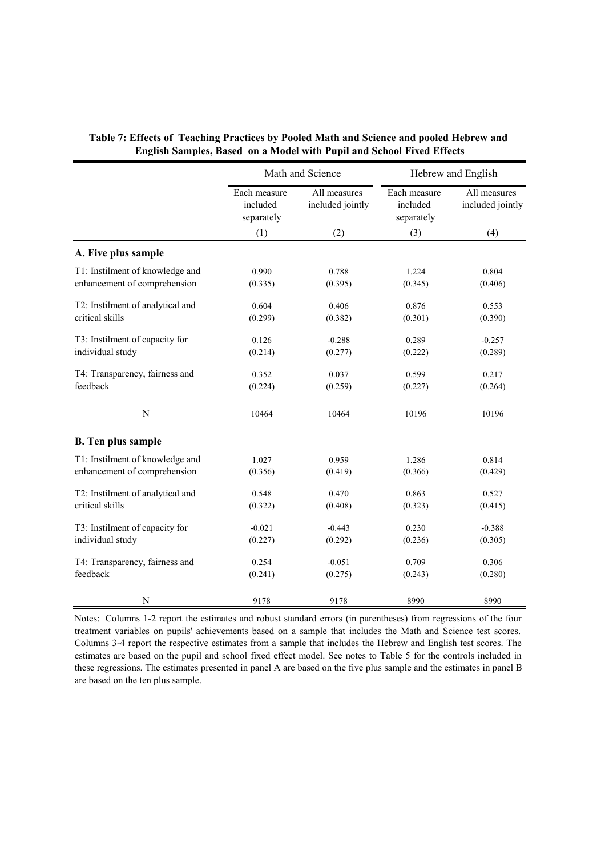|                                  |                                        | Math and Science                 |                                        | Hebrew and English               |
|----------------------------------|----------------------------------------|----------------------------------|----------------------------------------|----------------------------------|
|                                  | Each measure<br>included<br>separately | All measures<br>included jointly | Each measure<br>included<br>separately | All measures<br>included jointly |
|                                  | (1)                                    | (2)                              | (3)                                    | (4)                              |
| A. Five plus sample              |                                        |                                  |                                        |                                  |
| T1: Instilment of knowledge and  | 0.990                                  | 0.788                            | 1.224                                  | 0.804                            |
| enhancement of comprehension     | (0.335)                                | (0.395)                          | (0.345)                                | (0.406)                          |
| T2: Instilment of analytical and | 0.604                                  | 0.406                            | 0.876                                  | 0.553                            |
| critical skills                  | (0.299)                                | (0.382)                          | (0.301)                                | (0.390)                          |
| T3: Instilment of capacity for   | 0.126                                  | $-0.288$                         | 0.289                                  | $-0.257$                         |
| individual study                 | (0.214)                                | (0.277)                          | (0.222)                                | (0.289)                          |
| T4: Transparency, fairness and   | 0.352                                  | 0.037                            | 0.599                                  | 0.217                            |
| feedback                         | (0.224)                                | (0.259)                          | (0.227)                                | (0.264)                          |
| N                                | 10464                                  | 10464                            | 10196                                  | 10196                            |
| <b>B.</b> Ten plus sample        |                                        |                                  |                                        |                                  |
| T1: Instilment of knowledge and  | 1.027                                  | 0.959                            | 1.286                                  | 0.814                            |
| enhancement of comprehension     | (0.356)                                | (0.419)                          | (0.366)                                | (0.429)                          |
| T2: Instilment of analytical and | 0.548                                  | 0.470                            | 0.863                                  | 0.527                            |
| critical skills                  | (0.322)                                | (0.408)                          | (0.323)                                | (0.415)                          |
| T3: Instilment of capacity for   | $-0.021$                               | $-0.443$                         | 0.230                                  | $-0.388$                         |
| individual study                 | (0.227)                                | (0.292)                          | (0.236)                                | (0.305)                          |
| T4: Transparency, fairness and   | 0.254                                  | $-0.051$                         | 0.709                                  | 0.306                            |
| feedback                         | (0.241)                                | (0.275)                          | (0.243)                                | (0.280)                          |
| N                                | 9178                                   | 9178                             | 8990                                   | 8990                             |

| Table 7: Effects of Teaching Practices by Pooled Math and Science and pooled Hebrew and |
|-----------------------------------------------------------------------------------------|
| <b>English Samples, Based on a Model with Pupil and School Fixed Effects</b>            |

Notes: Columns 1-2 report the estimates and robust standard errors (in parentheses) from regressions of the four treatment variables on pupils' achievements based on a sample that includes the Math and Science test scores. Columns 3-4 report the respective estimates from a sample that includes the Hebrew and English test scores. The estimates are based on the pupil and school fixed effect model. See notes to Table 5 for the controls included in these regressions. The estimates presented in panel A are based on the five plus sample and the estimates in panel B are based on the ten plus sample.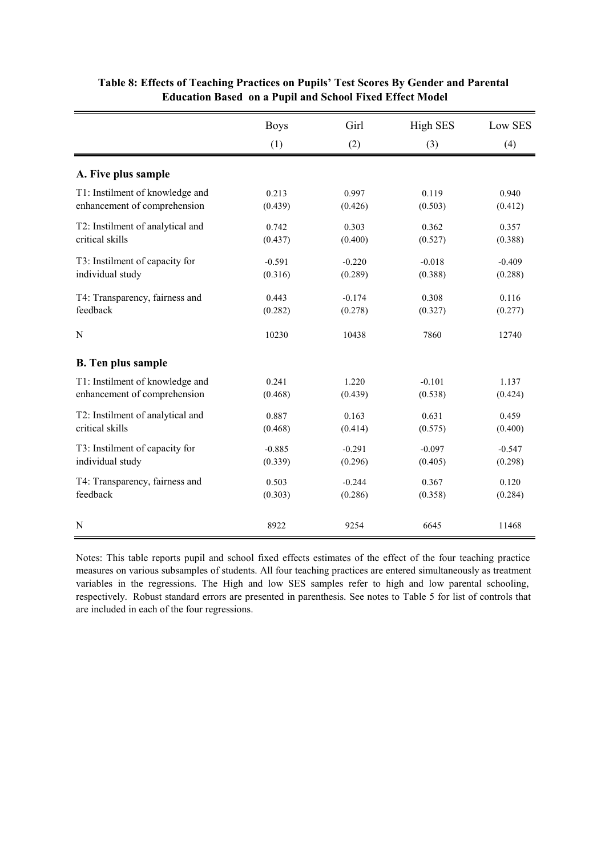|                                  | <b>Boys</b> | Girl     | <b>High SES</b> | Low SES  |
|----------------------------------|-------------|----------|-----------------|----------|
|                                  | (1)         | (2)      | (3)             | (4)      |
| A. Five plus sample              |             |          |                 |          |
| T1: Instilment of knowledge and  | 0.213       | 0.997    | 0.119           | 0.940    |
| enhancement of comprehension     | (0.439)     | (0.426)  | (0.503)         | (0.412)  |
| T2: Instilment of analytical and | 0.742       | 0.303    | 0.362           | 0.357    |
| critical skills                  | (0.437)     | (0.400)  | (0.527)         | (0.388)  |
| T3: Instilment of capacity for   | $-0.591$    | $-0.220$ | $-0.018$        | $-0.409$ |
| individual study                 | (0.316)     | (0.289)  | (0.388)         | (0.288)  |
| T4: Transparency, fairness and   | 0.443       | $-0.174$ | 0.308           | 0.116    |
| feedback                         | (0.282)     | (0.278)  | (0.327)         | (0.277)  |
| N                                | 10230       | 10438    | 7860            | 12740    |
| <b>B.</b> Ten plus sample        |             |          |                 |          |
| T1: Instilment of knowledge and  | 0.241       | 1.220    | $-0.101$        | 1.137    |
| enhancement of comprehension     | (0.468)     | (0.439)  | (0.538)         | (0.424)  |
| T2: Instilment of analytical and | 0.887       | 0.163    | 0.631           | 0.459    |
| critical skills                  | (0.468)     | (0.414)  | (0.575)         | (0.400)  |
| T3: Instilment of capacity for   | $-0.885$    | $-0.291$ | $-0.097$        | $-0.547$ |
| individual study                 | (0.339)     | (0.296)  | (0.405)         | (0.298)  |
| T4: Transparency, fairness and   | 0.503       | $-0.244$ | 0.367           | 0.120    |
| feedback                         | (0.303)     | (0.286)  | (0.358)         | (0.284)  |
| N                                | 8922        | 9254     | 6645            | 11468    |

# **Table 8: Effects of Teaching Practices on Pupils' Test Scores By Gender and Parental Education Based on a Pupil and School Fixed Effect Model**

Notes: This table reports pupil and school fixed effects estimates of the effect of the four teaching practice measures on various subsamples of students. All four teaching practices are entered simultaneously as treatment variables in the regressions. The High and low SES samples refer to high and low parental schooling, respectively. Robust standard errors are presented in parenthesis. See notes to Table 5 for list of controls that are included in each of the four regressions.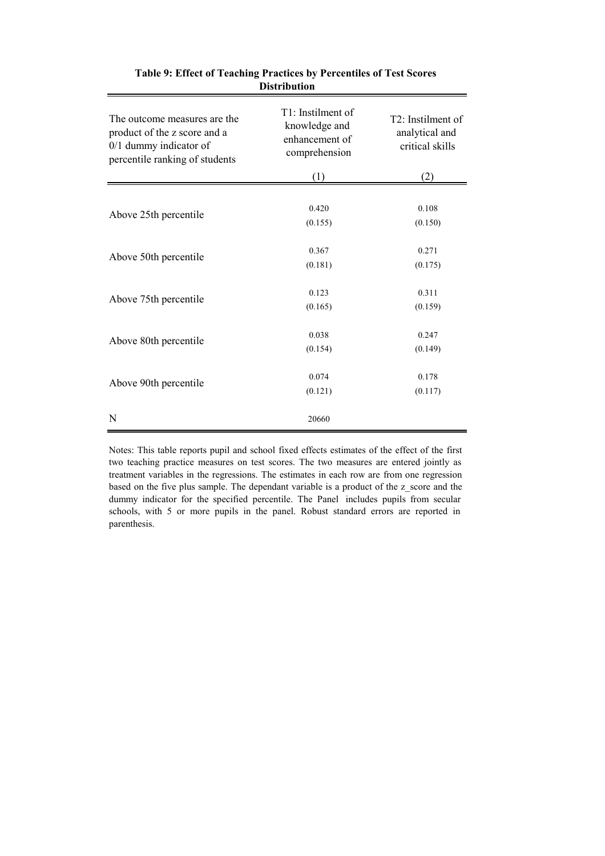| The outcome measures are the<br>product of the z score and a<br>$0/1$ dummy indicator of<br>percentile ranking of students | T1: Instilment of<br>knowledge and<br>enhancement of<br>comprehension | T2: Instilment of<br>analytical and<br>critical skills |
|----------------------------------------------------------------------------------------------------------------------------|-----------------------------------------------------------------------|--------------------------------------------------------|
|                                                                                                                            | (1)                                                                   | $\mathbf{2}$                                           |
| Above 25th percentile                                                                                                      | 0.420<br>(0.155)                                                      | 0.108<br>(0.150)                                       |
|                                                                                                                            | 0.367                                                                 | 0.271                                                  |
| Above 50th percentile                                                                                                      | (0.181)                                                               | (0.175)                                                |
| Above 75th percentile                                                                                                      | 0.123<br>(0.165)                                                      | 0.311<br>(0.159)                                       |
|                                                                                                                            | 0.038                                                                 | 0.247                                                  |
| Above 80th percentile                                                                                                      | (0.154)                                                               | (0.149)                                                |
| Above 90th percentile                                                                                                      | 0.074<br>(0.121)                                                      | 0.178<br>(0.117)                                       |
| N                                                                                                                          | 20660                                                                 |                                                        |

**Table 9: Effect of Teaching Practices by Percentiles of Test Scores Distribution**

Notes: This table reports pupil and school fixed effects estimates of the effect of the first two teaching practice measures on test scores. The two measures are entered jointly as treatment variables in the regressions. The estimates in each row are from one regression based on the five plus sample. The dependant variable is a product of the z score and the dummy indicator for the specified percentile. The Panel includes pupils from secular schools, with 5 or more pupils in the panel. Robust standard errors are reported in parenthesis.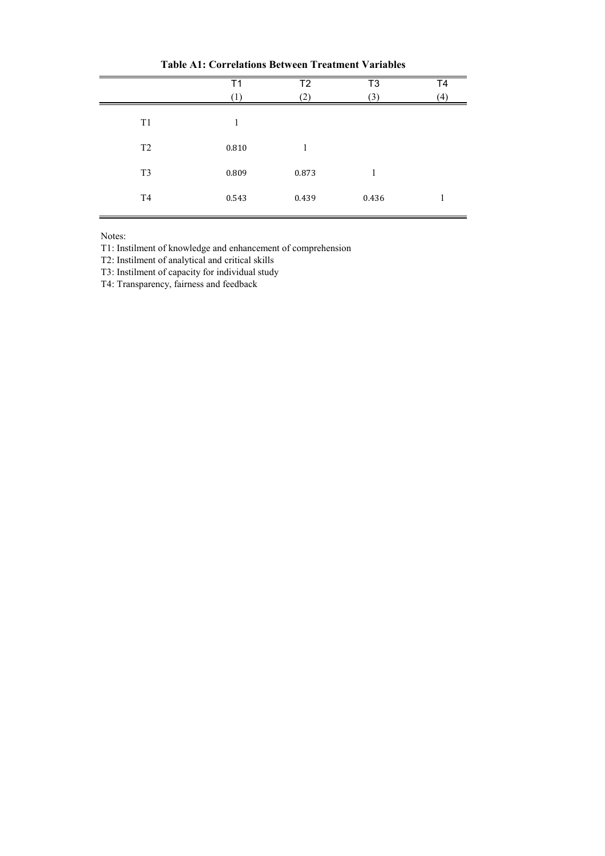|                | Τ1    | T2           | T3               | Τ4               |
|----------------|-------|--------------|------------------|------------------|
|                | (1)   | $\mathbf{2}$ | $\left(3\right)$ | $\left(4\right)$ |
| T <sub>1</sub> |       |              |                  |                  |
| T <sub>2</sub> | 0.810 |              |                  |                  |
| T <sub>3</sub> | 0.809 | 0.873        | 1                |                  |
| T <sub>4</sub> | 0.543 | 0.439        | 0.436            |                  |
|                |       |              |                  |                  |

**Table A1: Correlations Between Treatment Variables**

Notes:

T1: Instilment of knowledge and enhancement of comprehension

T2: Instilment of analytical and critical skills

T3: Instilment of capacity for individual study

T4: Transparency, fairness and feedback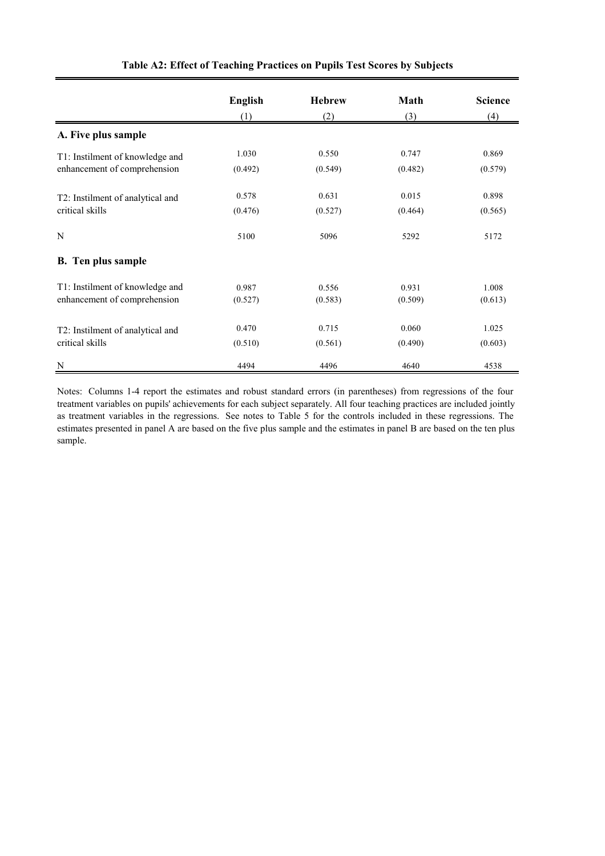|                                                                 | <b>English</b> | <b>Hebrew</b> | Math    | <b>Science</b> |
|-----------------------------------------------------------------|----------------|---------------|---------|----------------|
|                                                                 | (1)            | (2)           | (3)     | (4)            |
| A. Five plus sample                                             |                |               |         |                |
| T1: Instilment of knowledge and<br>enhancement of comprehension | 1.030          | 0.550         | 0.747   | 0.869          |
|                                                                 | (0.492)        | (0.549)       | (0.482) | (0.579)        |
| T2: Instilment of analytical and<br>critical skills             | 0.578          | 0.631         | 0.015   | 0.898          |
|                                                                 | (0.476)        | (0.527)       | (0.464) | (0.565)        |
| N                                                               | 5100           | 5096          | 5292    | 5172           |
| <b>B.</b> Ten plus sample                                       |                |               |         |                |
| T1: Instilment of knowledge and                                 | 0.987          | 0.556         | 0.931   | 1.008          |
| enhancement of comprehension                                    | (0.527)        | (0.583)       | (0.509) | (0.613)        |
| T2: Instilment of analytical and<br>critical skills             | 0.470          | 0.715         | 0.060   | 1.025          |
|                                                                 | (0.510)        | (0.561)       | (0.490) | (0.603)        |
| N                                                               | 4494           | 4496          | 4640    | 4538           |

#### **Table A2: Effect of Teaching Practices on Pupils Test Scores by Subjects**

Notes: Columns 1-4 report the estimates and robust standard errors (in parentheses) from regressions of the four treatment variables on pupils' achievements for each subject separately. All four teaching practices are included jointly as treatment variables in the regressions. See notes to Table 5 for the controls included in these regressions. The estimates presented in panel A are based on the five plus sample and the estimates in panel B are based on the ten plus sample.